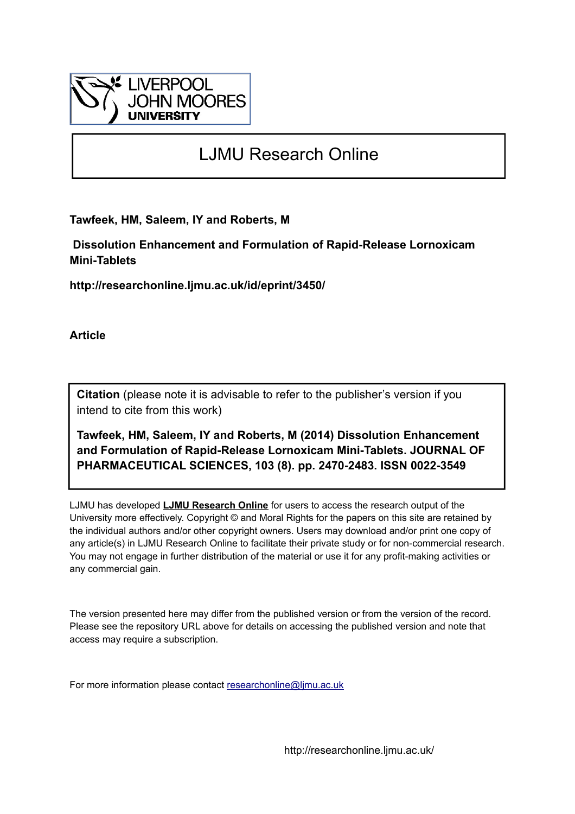

## LJMU Research Online

**Tawfeek, HM, Saleem, IY and Roberts, M**

 **Dissolution Enhancement and Formulation of Rapid-Release Lornoxicam Mini-Tablets**

**http://researchonline.ljmu.ac.uk/id/eprint/3450/**

**Article**

**Citation** (please note it is advisable to refer to the publisher's version if you intend to cite from this work)

**Tawfeek, HM, Saleem, IY and Roberts, M (2014) Dissolution Enhancement and Formulation of Rapid-Release Lornoxicam Mini-Tablets. JOURNAL OF PHARMACEUTICAL SCIENCES, 103 (8). pp. 2470-2483. ISSN 0022-3549** 

LJMU has developed **[LJMU Research Online](http://researchonline.ljmu.ac.uk/)** for users to access the research output of the University more effectively. Copyright © and Moral Rights for the papers on this site are retained by the individual authors and/or other copyright owners. Users may download and/or print one copy of any article(s) in LJMU Research Online to facilitate their private study or for non-commercial research. You may not engage in further distribution of the material or use it for any profit-making activities or any commercial gain.

The version presented here may differ from the published version or from the version of the record. Please see the repository URL above for details on accessing the published version and note that access may require a subscription.

For more information please contact [researchonline@ljmu.ac.uk](mailto:researchonline@ljmu.ac.uk)

http://researchonline.ljmu.ac.uk/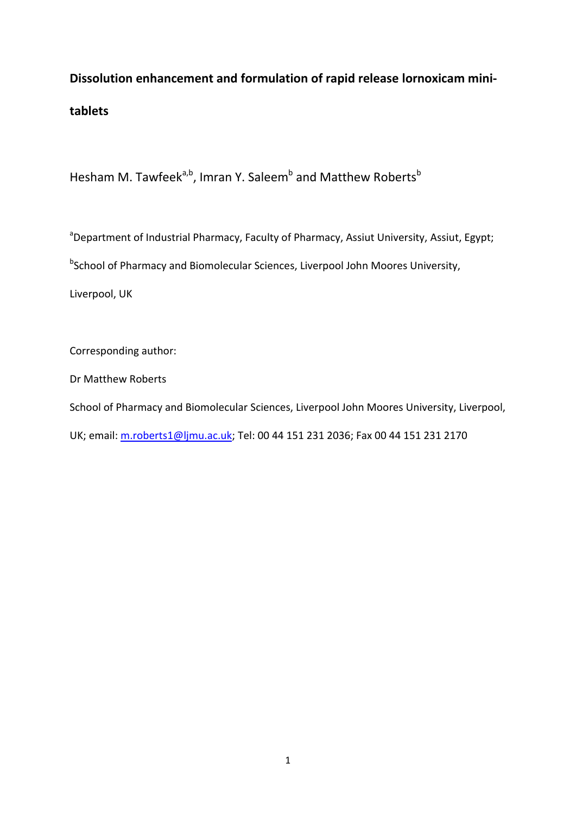# **Dissolution enhancement and formulation of rapid release lornoxicam minitablets**

Hesham M. Tawfeek<sup>a,b</sup>, Imran Y. Saleem<sup>b</sup> and Matthew Roberts<sup>b</sup>

<sup>a</sup>Department of Industrial Pharmacy, Faculty of Pharmacy, Assiut University, Assiut, Egypt; <sup>b</sup>School of Pharmacy and Biomolecular Sciences, Liverpool John Moores University, Liverpool, UK

Corresponding author:

Dr Matthew Roberts

School of Pharmacy and Biomolecular Sciences, Liverpool John Moores University, Liverpool,

UK; email[: m.roberts1@ljmu.ac.uk;](mailto:m.roberts1@ljmu.ac.uk) Tel: 00 44 151 231 2036; Fax 00 44 151 231 2170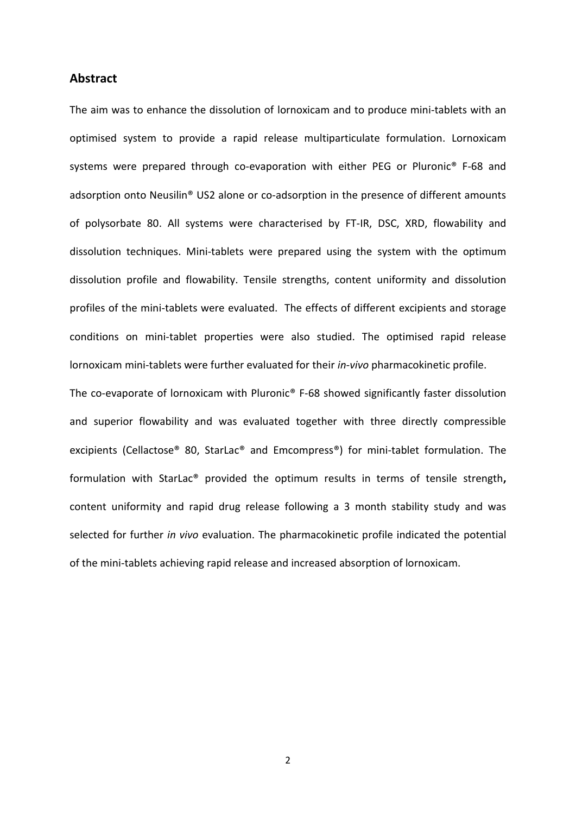## **Abstract**

The aim was to enhance the dissolution of lornoxicam and to produce mini-tablets with an optimised system to provide a rapid release multiparticulate formulation. Lornoxicam systems were prepared through co-evaporation with either PEG or Pluronic® F-68 and adsorption onto Neusilin® US2 alone or co-adsorption in the presence of different amounts of polysorbate 80. All systems were characterised by FT-IR, DSC, XRD, flowability and dissolution techniques. Mini-tablets were prepared using the system with the optimum dissolution profile and flowability. Tensile strengths, content uniformity and dissolution profiles of the mini-tablets were evaluated. The effects of different excipients and storage conditions on mini-tablet properties were also studied. The optimised rapid release lornoxicam mini-tablets were further evaluated for their *in-vivo* pharmacokinetic profile.

The co-evaporate of lornoxicam with Pluronic® F-68 showed significantly faster dissolution and superior flowability and was evaluated together with three directly compressible excipients (Cellactose® 80, StarLac® and Emcompress®) for mini-tablet formulation. The formulation with StarLac® provided the optimum results in terms of tensile strength**,**  content uniformity and rapid drug release following a 3 month stability study and was selected for further *in vivo* evaluation. The pharmacokinetic profile indicated the potential of the mini-tablets achieving rapid release and increased absorption of lornoxicam.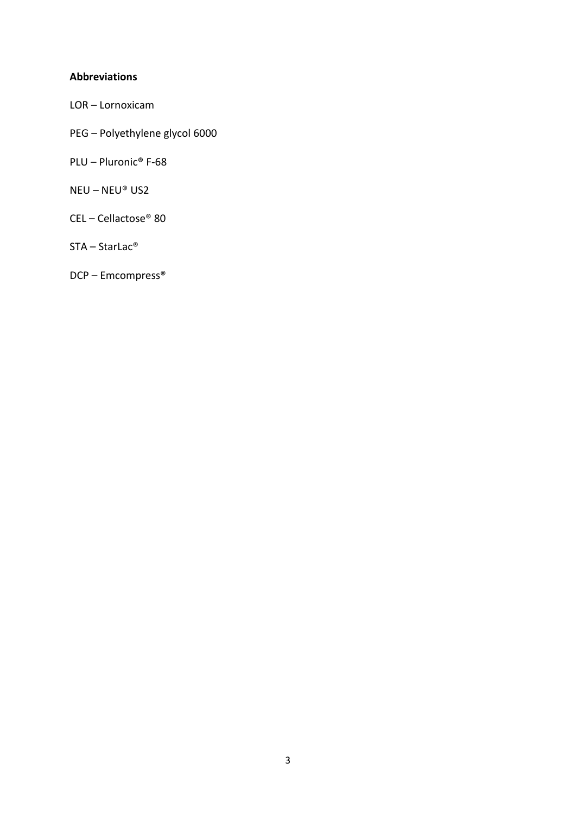## **Abbreviations**

- LOR Lornoxicam
- PEG Polyethylene glycol 6000
- PLU Pluronic® F-68
- NEU NEU® US2
- CEL Cellactose® 80
- STA StarLac®
- DCP Emcompress®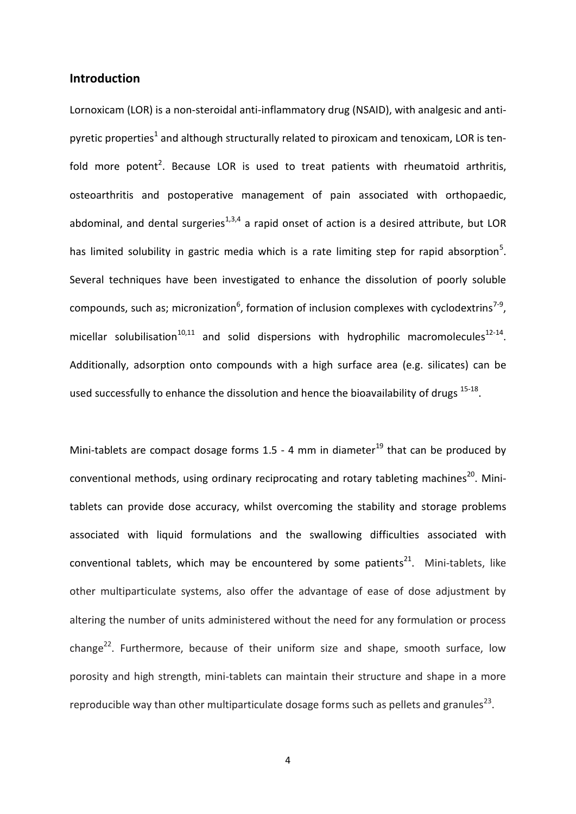## **Introduction**

Lornoxicam (LOR) is a non-steroidal anti-inflammatory drug (NSAID), with analgesic and antipyretic properties<sup>1</sup> and although structurally related to piroxicam and tenoxicam, LOR is tenfold more potent<sup>2</sup>. Because LOR is used to treat patients with rheumatoid arthritis, osteoarthritis and postoperative management of pain associated with orthopaedic, abdominal, and dental surgeries $1,3,4$  a rapid onset of action is a desired attribute, but LOR has limited solubility in gastric media which is a rate limiting step for rapid absorption<sup>5</sup>. Several techniques have been investigated to enhance the dissolution of poorly soluble compounds, such as; micronization<sup>6</sup>, formation of inclusion complexes with cyclodextrins<sup>7-9</sup>, micellar solubilisation $10,11$  and solid dispersions with hydrophilic macromolecules $12-14$ . Additionally, adsorption onto compounds with a high surface area (e.g. silicates) can be used successfully to enhance the dissolution and hence the bioavailability of drugs <sup>15-18</sup>.

Mini-tablets are compact dosage forms  $1.5 - 4$  mm in diameter<sup>19</sup> that can be produced by conventional methods, using ordinary reciprocating and rotary tableting machines<sup>20</sup>. Minitablets can provide dose accuracy, whilst overcoming the stability and storage problems associated with liquid formulations and the swallowing difficulties associated with conventional tablets, which may be encountered by some patients<sup>21</sup>. Mini-tablets, like other multiparticulate systems, also offer the advantage of ease of dose adjustment by altering the number of units administered without the need for any formulation or process change $^{22}$ . Furthermore, because of their uniform size and shape, smooth surface, low porosity and high strength, mini-tablets can maintain their structure and shape in a more reproducible way than other multiparticulate dosage forms such as pellets and granules<sup>23</sup>.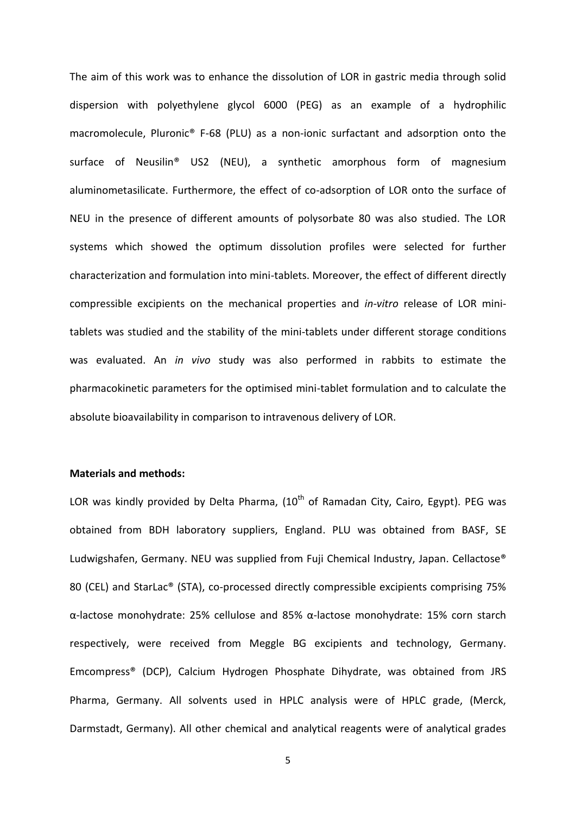The aim of this work was to enhance the dissolution of LOR in gastric media through solid dispersion with polyethylene glycol 6000 (PEG) as an example of a hydrophilic macromolecule, Pluronic® F-68 (PLU) as a non-ionic surfactant and adsorption onto the surface of Neusilin® US2 (NEU), a synthetic amorphous form of magnesium aluminometasilicate. Furthermore, the effect of co-adsorption of LOR onto the surface of NEU in the presence of different amounts of polysorbate 80 was also studied. The LOR systems which showed the optimum dissolution profiles were selected for further characterization and formulation into mini-tablets. Moreover, the effect of different directly compressible excipients on the mechanical properties and *in-vitro* release of LOR minitablets was studied and the stability of the mini-tablets under different storage conditions was evaluated. An *in vivo* study was also performed in rabbits to estimate the pharmacokinetic parameters for the optimised mini-tablet formulation and to calculate the absolute bioavailability in comparison to intravenous delivery of LOR.

## **Materials and methods:**

LOR was kindly provided by Delta Pharma,  $(10<sup>th</sup>$  of Ramadan City, Cairo, Egypt). PEG was obtained from BDH laboratory suppliers, England. PLU was obtained from BASF, SE Ludwigshafen, Germany. NEU was supplied from Fuji Chemical Industry, Japan. Cellactose® 80 (CEL) and StarLac® (STA), co-processed directly compressible excipients comprising 75% α-lactose monohydrate: 25% cellulose and 85% α-lactose monohydrate: 15% corn starch respectively, were received from Meggle BG excipients and technology, Germany. Emcompress® (DCP), Calcium Hydrogen Phosphate Dihydrate, was obtained from JRS Pharma, Germany. All solvents used in HPLC analysis were of HPLC grade, (Merck, Darmstadt, Germany). All other chemical and analytical reagents were of analytical grades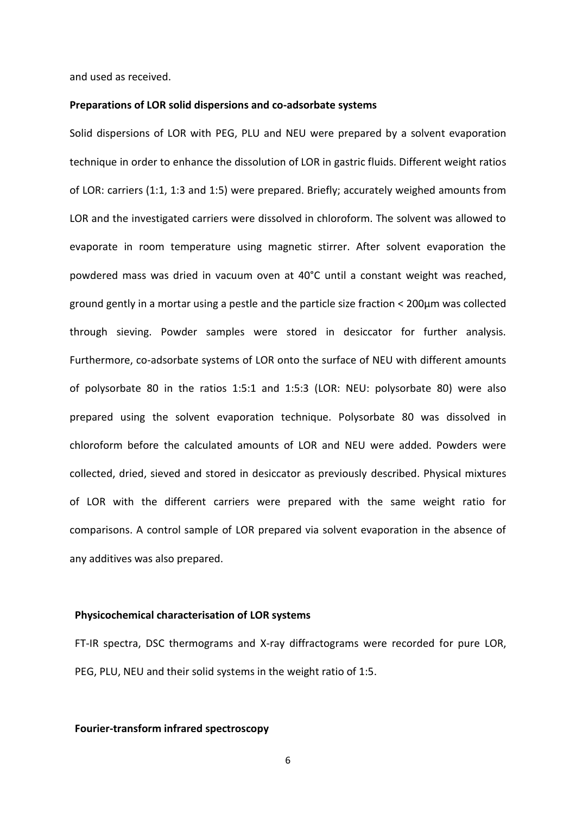and used as received.

#### **Preparations of LOR solid dispersions and co-adsorbate systems**

Solid dispersions of LOR with PEG, PLU and NEU were prepared by a solvent evaporation technique in order to enhance the dissolution of LOR in gastric fluids. Different weight ratios of LOR: carriers (1:1, 1:3 and 1:5) were prepared. Briefly; accurately weighed amounts from LOR and the investigated carriers were dissolved in chloroform. The solvent was allowed to evaporate in room temperature using magnetic stirrer. After solvent evaporation the powdered mass was dried in vacuum oven at 40°C until a constant weight was reached, ground gently in a mortar using a pestle and the particle size fraction < 200µm was collected through sieving. Powder samples were stored in desiccator for further analysis. Furthermore, co-adsorbate systems of LOR onto the surface of NEU with different amounts of polysorbate 80 in the ratios 1:5:1 and 1:5:3 (LOR: NEU: polysorbate 80) were also prepared using the solvent evaporation technique. Polysorbate 80 was dissolved in chloroform before the calculated amounts of LOR and NEU were added. Powders were collected, dried, sieved and stored in desiccator as previously described. Physical mixtures of LOR with the different carriers were prepared with the same weight ratio for comparisons. A control sample of LOR prepared via solvent evaporation in the absence of any additives was also prepared.

#### **Physicochemical characterisation of LOR systems**

FT-IR spectra, DSC thermograms and X-ray diffractograms were recorded for pure LOR, PEG, PLU, NEU and their solid systems in the weight ratio of 1:5.

## **Fourier-transform infrared spectroscopy**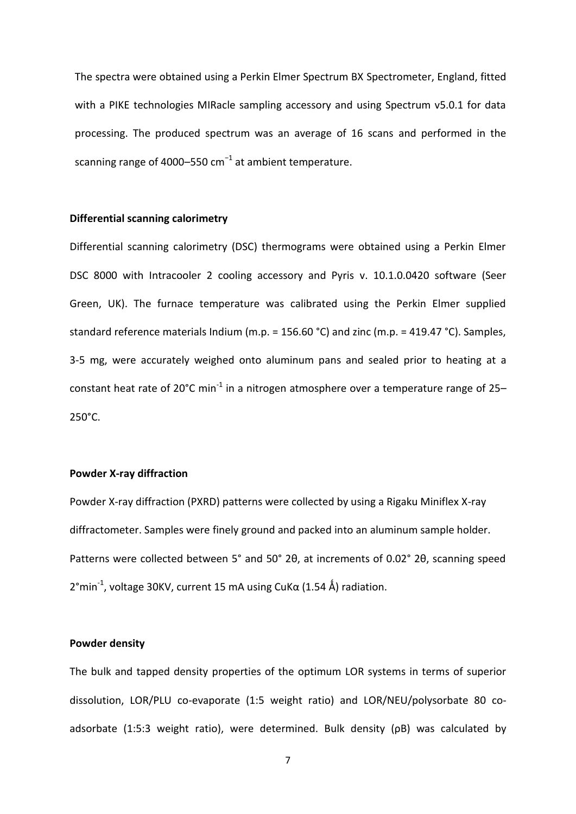The spectra were obtained using a Perkin Elmer Spectrum BX Spectrometer, England, fitted with a PIKE technologies MIRacle sampling accessory and using Spectrum v5.0.1 for data processing. The produced spectrum was an average of 16 scans and performed in the scanning range of 4000–550  $cm^{-1}$  at ambient temperature.

## **Differential scanning calorimetry**

Differential scanning calorimetry (DSC) thermograms were obtained using a Perkin Elmer DSC 8000 with Intracooler 2 cooling accessory and Pyris v. 10.1.0.0420 software (Seer Green, UK). The furnace temperature was calibrated using the Perkin Elmer supplied standard reference materials Indium (m.p. = 156.60 °C) and zinc (m.p. = 419.47 °C). Samples, 3-5 mg, were accurately weighed onto aluminum pans and sealed prior to heating at a constant heat rate of 20°C min<sup>-1</sup> in a nitrogen atmosphere over a temperature range of 25– 250°C.

## **Powder X-ray diffraction**

Powder X-ray diffraction (PXRD) patterns were collected by using a Rigaku Miniflex X-ray diffractometer. Samples were finely ground and packed into an aluminum sample holder. Patterns were collected between 5° and 50° 2θ, at increments of 0.02° 2θ, scanning speed 2°min<sup>-1</sup>, voltage 30KV, current 15 mA using CuKα (1.54 Å) radiation.

## **Powder density**

The bulk and tapped density properties of the optimum LOR systems in terms of superior dissolution, LOR/PLU co-evaporate (1:5 weight ratio) and LOR/NEU/polysorbate 80 coadsorbate (1:5:3 weight ratio), were determined. Bulk density (ρB) was calculated by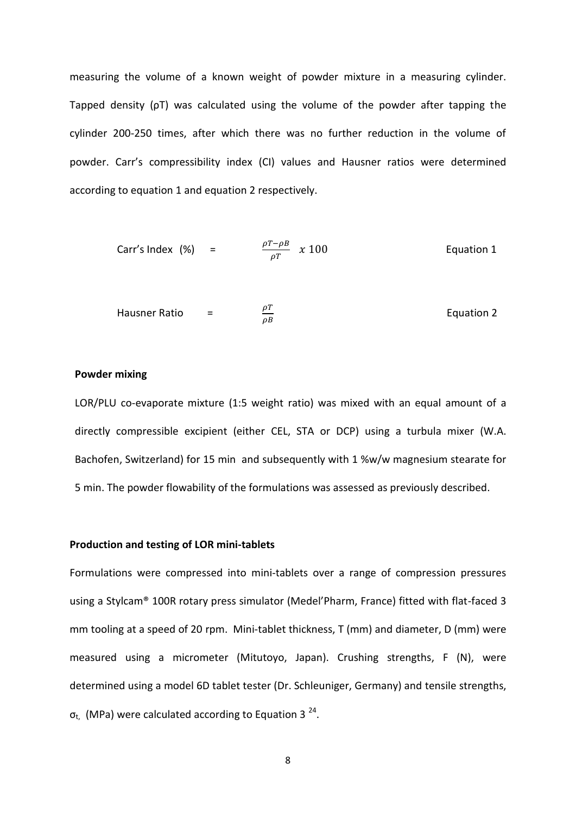measuring the volume of a known weight of powder mixture in a measuring cylinder. Tapped density (ρT) was calculated using the volume of the powder after tapping the cylinder 200-250 times, after which there was no further reduction in the volume of powder. Carr's compressibility index (CI) values and Hausner ratios were determined according to equation 1 and equation 2 respectively.

Carr's Index (%) = 
$$
\frac{\rho T - \rho B}{\rho T}
$$
 x 100 Equation 1

Hausner Ratio

\n
$$
= \frac{\rho T}{\rho B}
$$
\nEquation 2

#### **Powder mixing**

LOR/PLU co-evaporate mixture (1:5 weight ratio) was mixed with an equal amount of a directly compressible excipient (either CEL, STA or DCP) using a turbula mixer (W.A. Bachofen, Switzerland) for 15 min and subsequently with 1 %w/w magnesium stearate for 5 min. The powder flowability of the formulations was assessed as previously described.

## **Production and testing of LOR mini-tablets**

Formulations were compressed into mini-tablets over a range of compression pressures using a Stylcam® 100R rotary press simulator (Medel'Pharm, France) fitted with flat-faced 3 mm tooling at a speed of 20 rpm. Mini-tablet thickness, T (mm) and diameter, D (mm) were measured using a micrometer (Mitutoyo, Japan). Crushing strengths, F (N), were determined using a model 6D tablet tester (Dr. Schleuniger, Germany) and tensile strengths,  $\sigma_{t}$ , (MPa) were calculated according to Equation 3<sup>24</sup>.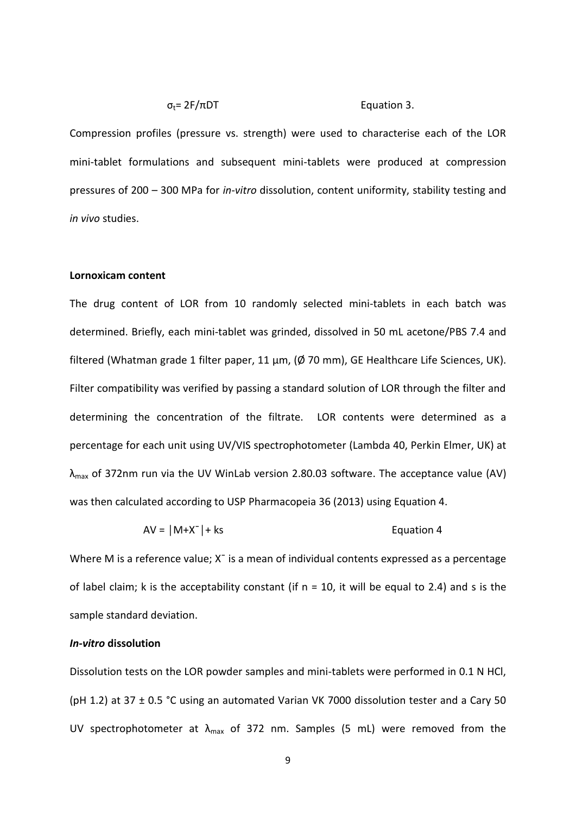## $\sigma_t = 2F/\pi DT$  Equation 3.

Compression profiles (pressure vs. strength) were used to characterise each of the LOR mini-tablet formulations and subsequent mini-tablets were produced at compression pressures of 200 – 300 MPa for *in-vitro* dissolution, content uniformity, stability testing and *in vivo* studies.

## **Lornoxicam content**

The drug content of LOR from 10 randomly selected mini-tablets in each batch was determined. Briefly, each mini-tablet was grinded, dissolved in 50 mL acetone/PBS 7.4 and filtered (Whatman grade 1 filter paper, 11  $\mu$ m, (Ø 70 mm), GE Healthcare Life Sciences, UK). Filter compatibility was verified by passing a standard solution of LOR through the filter and determining the concentration of the filtrate. LOR contents were determined as a percentage for each unit using UV/VIS spectrophotometer (Lambda 40, Perkin Elmer, UK) at  $\lambda_{\text{max}}$  of 372nm run via the UV WinLab version 2.80.03 software. The acceptance value (AV) was then calculated according to USP Pharmacopeia 36 (2013) using Equation 4.

$$
AV = |M+X^{-}| + ks
$$
 Equation 4

Where M is a reference value; X<sup>-</sup> is a mean of individual contents expressed as a percentage of label claim; k is the acceptability constant (if  $n = 10$ , it will be equal to 2.4) and s is the sample standard deviation.

## *In-vitro* **dissolution**

Dissolution tests on the LOR powder samples and mini-tablets were performed in 0.1 N HCl, (pH 1.2) at 37 ± 0.5 °C using an automated Varian VK 7000 dissolution tester and a Cary 50 UV spectrophotometer at  $\lambda_{\text{max}}$  of 372 nm. Samples (5 mL) were removed from the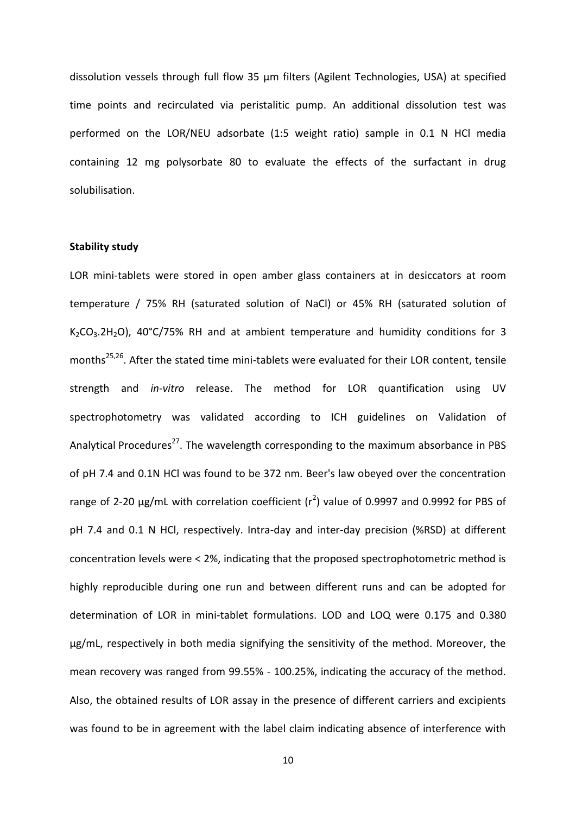dissolution vessels through full flow 35 μm filters (Agilent Technologies, USA) at specified time points and recirculated via peristalitic pump. An additional dissolution test was performed on the LOR/NEU adsorbate (1:5 weight ratio) sample in 0.1 N HCl media containing 12 mg polysorbate 80 to evaluate the effects of the surfactant in drug solubilisation.

#### **Stability study**

LOR mini-tablets were stored in open amber glass containers at in desiccators at room temperature / 75% RH (saturated solution of NaCl) or 45% RH (saturated solution of  $K<sub>2</sub>CO<sub>3</sub>·2H<sub>2</sub>O$ ), 40°C/75% RH and at ambient temperature and humidity conditions for 3 months<sup>25,26</sup>. After the stated time mini-tablets were evaluated for their LOR content, tensile strength and *in-vitro* release. The method for LOR quantification using UV spectrophotometry was validated according to ICH guidelines on Validation of Analytical Procedures<sup>27</sup>. The wavelength corresponding to the maximum absorbance in PBS of pH 7.4 and 0.1N HCl was found to be 372 nm. Beer's law obeyed over the concentration range of 2-20  $\mu$ g/mL with correlation coefficient ( $r^2$ ) value of 0.9997 and 0.9992 for PBS of pH 7.4 and 0.1 N HCl, respectively. Intra-day and inter-day precision (%RSD) at different concentration levels were < 2%, indicating that the proposed spectrophotometric method is highly reproducible during one run and between different runs and can be adopted for determination of LOR in mini-tablet formulations. LOD and LOQ were 0.175 and 0.380 μg/mL, respectively in both media signifying the sensitivity of the method. Moreover, the mean recovery was ranged from 99.55% - 100.25%, indicating the accuracy of the method. Also, the obtained results of LOR assay in the presence of different carriers and excipients was found to be in agreement with the label claim indicating absence of interference with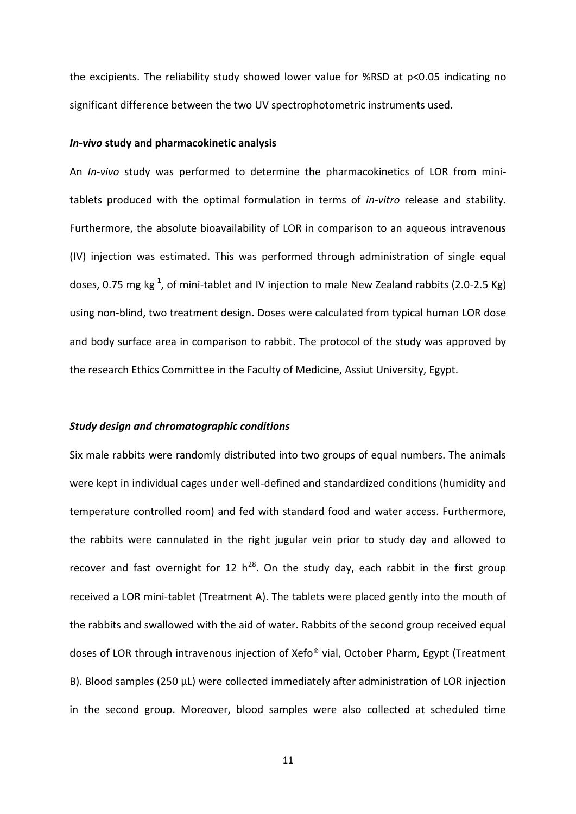the excipients. The reliability study showed lower value for %RSD at p<0.05 indicating no significant difference between the two UV spectrophotometric instruments used.

#### *In-vivo* **study and pharmacokinetic analysis**

An *In-vivo* study was performed to determine the pharmacokinetics of LOR from minitablets produced with the optimal formulation in terms of *in-vitro* release and stability. Furthermore, the absolute bioavailability of LOR in comparison to an aqueous intravenous (IV) injection was estimated. This was performed through administration of single equal doses, 0.75 mg  $kg^{-1}$ , of mini-tablet and IV injection to male New Zealand rabbits (2.0-2.5 Kg) using non-blind, two treatment design. Doses were calculated from typical human LOR dose and body surface area in comparison to rabbit. The protocol of the study was approved by the research Ethics Committee in the Faculty of Medicine, Assiut University, Egypt.

#### *Study design and chromatographic conditions*

Six male rabbits were randomly distributed into two groups of equal numbers. The animals were kept in individual cages under well-defined and standardized conditions (humidity and temperature controlled room) and fed with standard food and water access. Furthermore, the rabbits were cannulated in the right jugular vein prior to study day and allowed to recover and fast overnight for 12  $h^{28}$ . On the study day, each rabbit in the first group received a LOR mini-tablet (Treatment A). The tablets were placed gently into the mouth of the rabbits and swallowed with the aid of water. Rabbits of the second group received equal doses of LOR through intravenous injection of Xefo® vial, October Pharm, Egypt (Treatment B). Blood samples (250 µL) were collected immediately after administration of LOR injection in the second group. Moreover, blood samples were also collected at scheduled time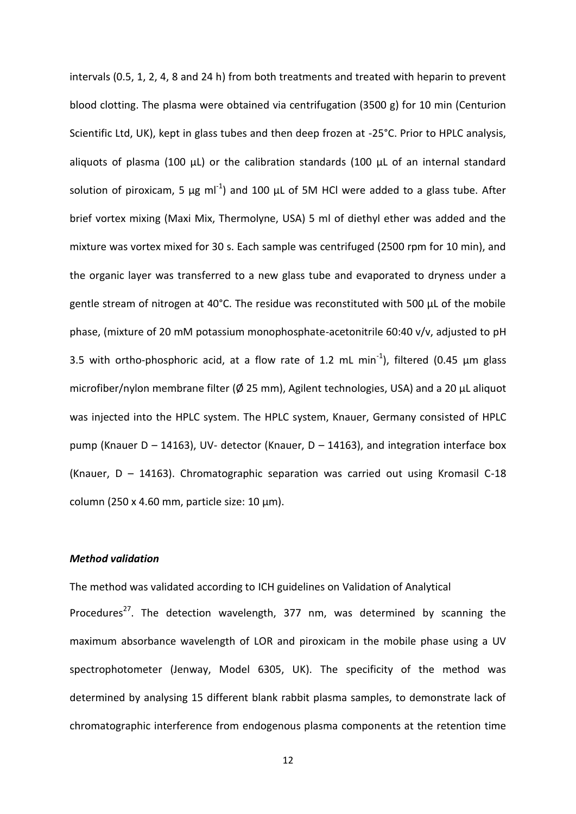intervals (0.5, 1, 2, 4, 8 and 24 h) from both treatments and treated with heparin to prevent blood clotting. The plasma were obtained via centrifugation (3500 g) for 10 min (Centurion Scientific Ltd, UK), kept in glass tubes and then deep frozen at -25°C. Prior to HPLC analysis, aliquots of plasma (100  $\mu$ L) or the calibration standards (100  $\mu$ L of an internal standard solution of piroxicam, 5  $\mu$ g ml<sup>-1</sup>) and 100  $\mu$ L of 5M HCl were added to a glass tube. After brief vortex mixing (Maxi Mix, Thermolyne, USA) 5 ml of diethyl ether was added and the mixture was vortex mixed for 30 s. Each sample was centrifuged (2500 rpm for 10 min), and the organic layer was transferred to a new glass tube and evaporated to dryness under a gentle stream of nitrogen at 40°C. The residue was reconstituted with 500 µL of the mobile phase, (mixture of 20 mM potassium monophosphate-acetonitrile 60:40 v/v, adjusted to pH 3.5 with ortho-phosphoric acid, at a flow rate of 1.2 mL min<sup>-1</sup>), filtered (0.45  $\mu$ m glass microfiber/nylon membrane filter (Ø 25 mm), Agilent technologies, USA) and a 20 µL aliquot was injected into the HPLC system. The HPLC system, Knauer, Germany consisted of HPLC pump (Knauer D – 14163), UV- detector (Knauer, D – 14163), and integration interface box (Knauer, D – 14163). Chromatographic separation was carried out using Kromasil C-18 column (250 x 4.60 mm, particle size:  $10 \mu m$ ).

## *Method validation*

The method was validated according to ICH guidelines on Validation of Analytical Procedures<sup>27</sup>. The detection wavelength, 377 nm, was determined by scanning the maximum absorbance wavelength of LOR and piroxicam in the mobile phase using a UV spectrophotometer (Jenway, Model 6305, UK). The specificity of the method was determined by analysing 15 different blank rabbit plasma samples, to demonstrate lack of chromatographic interference from endogenous plasma components at the retention time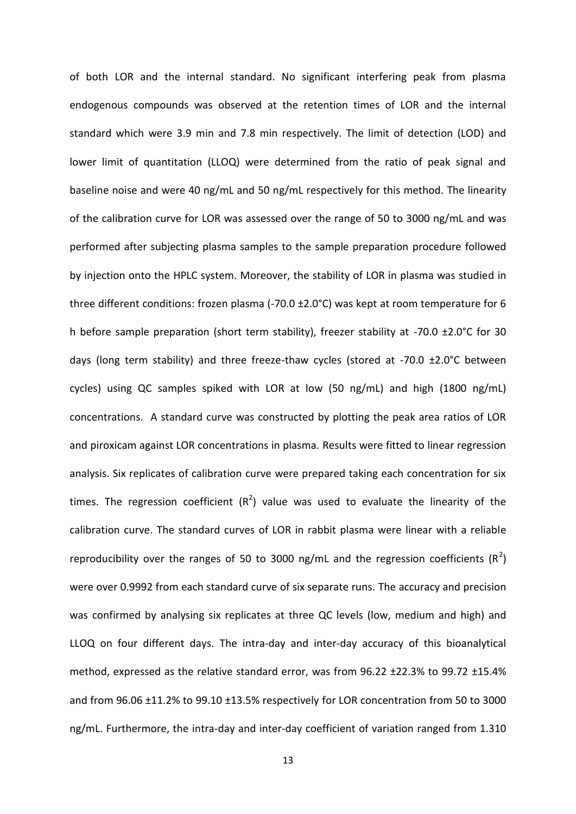of both LOR and the internal standard. No significant interfering peak from plasma endogenous compounds was observed at the retention times of LOR and the internal standard which were 3.9 min and 7.8 min respectively. The limit of detection (LOD) and lower limit of quantitation (LLOQ) were determined from the ratio of peak signal and baseline noise and were 40 ng/mL and 50 ng/mL respectively for this method. The linearity of the calibration curve for LOR was assessed over the range of 50 to 3000 ng/mL and was performed after subjecting plasma samples to the sample preparation procedure followed by injection onto the HPLC system. Moreover, the stability of LOR in plasma was studied in three different conditions: frozen plasma  $(-70.0 \pm 2.0^{\circ}$ C) was kept at room temperature for 6 h before sample preparation (short term stability), freezer stability at -70.0 ±2.0°C for 30 days (long term stability) and three freeze-thaw cycles (stored at -70.0  $\pm$ 2.0°C between cycles) using QC samples spiked with LOR at low (50 ng/mL) and high (1800 ng/mL) concentrations. A standard curve was constructed by plotting the peak area ratios of LOR and piroxicam against LOR concentrations in plasma. Results were fitted to linear regression analysis. Six replicates of calibration curve were prepared taking each concentration for six times. The regression coefficient  $(R^2)$  value was used to evaluate the linearity of the calibration curve. The standard curves of LOR in rabbit plasma were linear with a reliable reproducibility over the ranges of 50 to 3000 ng/mL and the regression coefficients  $(R^2)$ were over 0.9992 from each standard curve of six separate runs. The accuracy and precision was confirmed by analysing six replicates at three QC levels (low, medium and high) and LLOQ on four different days. The intra-day and inter-day accuracy of this bioanalytical method, expressed as the relative standard error, was from 96.22 ±22.3% to 99.72 ±15.4% and from 96.06 ±11.2% to 99.10 ±13.5% respectively for LOR concentration from 50 to 3000 ng/mL. Furthermore, the intra-day and inter-day coefficient of variation ranged from 1.310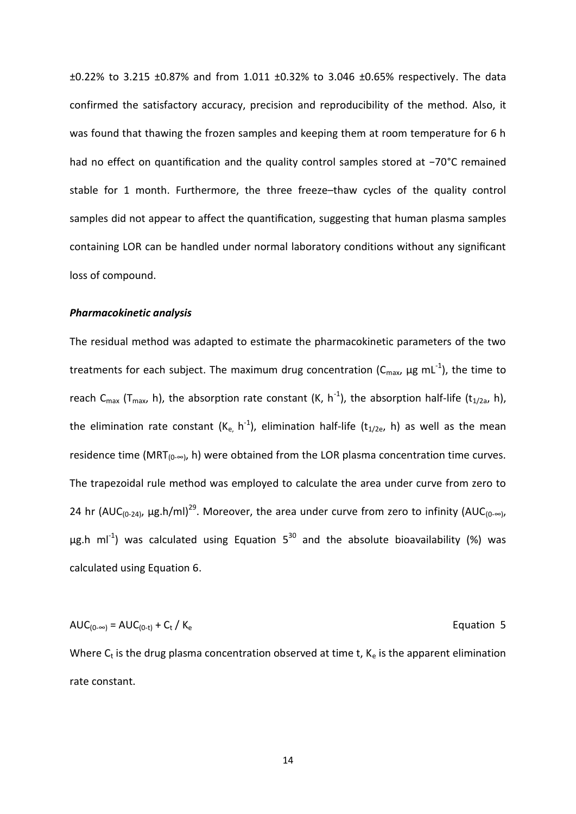$\pm 0.22$ % to 3.215  $\pm 0.87$ % and from 1.011  $\pm 0.32$ % to 3.046  $\pm 0.65$ % respectively. The data confirmed the satisfactory accuracy, precision and reproducibility of the method. Also, it was found that thawing the frozen samples and keeping them at room temperature for 6 h had no effect on quantification and the quality control samples stored at −70°C remained stable for 1 month. Furthermore, the three freeze–thaw cycles of the quality control samples did not appear to affect the quantification, suggesting that human plasma samples containing LOR can be handled under normal laboratory conditions without any significant loss of compound.

#### *Pharmacokinetic analysis*

The residual method was adapted to estimate the pharmacokinetic parameters of the two treatments for each subject. The maximum drug concentration ( $C_{\text{max}}$ ,  $\mu$ g mL<sup>-1</sup>), the time to reach C<sub>max</sub> (T<sub>max</sub>, h), the absorption rate constant (K, h<sup>-1</sup>), the absorption half-life (t<sub>1/2a</sub>, h), the elimination rate constant (K<sub>e,</sub> h<sup>-1</sup>), elimination half-life (t<sub>1/2e</sub>, h) as well as the mean residence time (MRT<sub>(0-∞)</sub>, h) were obtained from the LOR plasma concentration time curves. The trapezoidal rule method was employed to calculate the area under curve from zero to 24 hr (AUC<sub>(0-24)</sub>,  $\mu$ g.h/ml)<sup>29</sup>. Moreover, the area under curve from zero to infinity (AUC<sub>(0-∞)</sub>,  $\mu$ g.h ml<sup>-1</sup>) was calculated using Equation 5<sup>30</sup> and the absolute bioavailability (%) was calculated using Equation 6.

$$
AUC_{(0-\infty)} = AUC_{(0-t)} + C_t / K_e
$$

Where  $C_t$  is the drug plasma concentration observed at time t,  $K_e$  is the apparent elimination rate constant.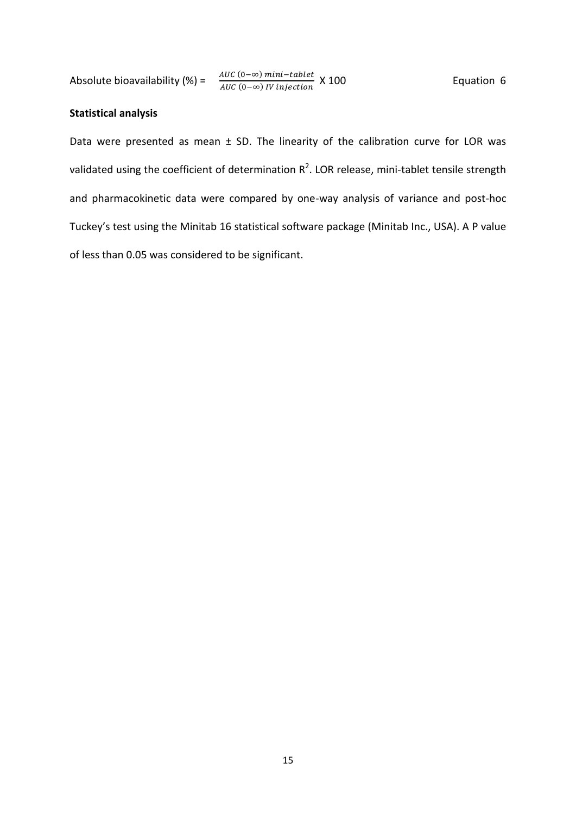| Absolute bioavailability (%) = | $\frac{AUC(0-\infty) min-tablet}{AUC(0-\infty) min-tablet} \times 100$<br>$\overline{AUC(0-\infty)}$ IV injection | Equation 6 |
|--------------------------------|-------------------------------------------------------------------------------------------------------------------|------------|
|--------------------------------|-------------------------------------------------------------------------------------------------------------------|------------|

## **Statistical analysis**

Data were presented as mean  $\pm$  SD. The linearity of the calibration curve for LOR was validated using the coefficient of determination  $R^2$ . LOR release, mini-tablet tensile strength and pharmacokinetic data were compared by one-way analysis of variance and post-hoc Tuckey's test using the Minitab 16 statistical software package (Minitab Inc., USA). A P value of less than 0.05 was considered to be significant.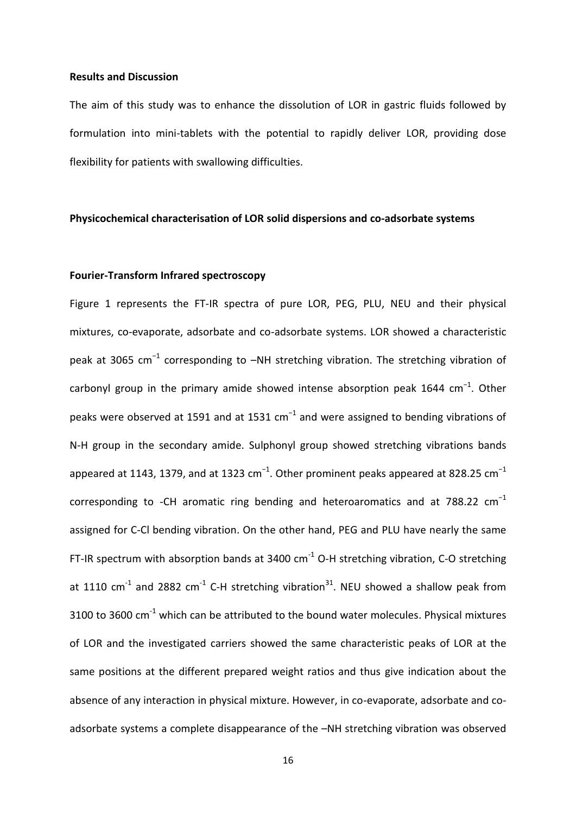#### **Results and Discussion**

The aim of this study was to enhance the dissolution of LOR in gastric fluids followed by formulation into mini-tablets with the potential to rapidly deliver LOR, providing dose flexibility for patients with swallowing difficulties.

## **Physicochemical characterisation of LOR solid dispersions and co-adsorbate systems**

## **Fourier-Transform Infrared spectroscopy**

Figure 1 represents the FT-IR spectra of pure LOR, PEG, PLU, NEU and their physical mixtures, co-evaporate, adsorbate and co-adsorbate systems. LOR showed a characteristic peak at 3065 cm<sup>-1</sup> corresponding to –NH stretching vibration. The stretching vibration of carbonyl group in the primary amide showed intense absorption peak 1644  $cm^{-1}$ . Other peaks were observed at 1591 and at 1531  $cm^{-1}$  and were assigned to bending vibrations of N-H group in the secondary amide. Sulphonyl group showed stretching vibrations bands appeared at 1143, 1379, and at 1323  $cm^{-1}$ . Other prominent peaks appeared at 828.25  $cm^{-1}$ corresponding to -CH aromatic ring bending and heteroaromatics and at 788.22  $cm^{-1}$ assigned for C-Cl bending vibration. On the other hand, PEG and PLU have nearly the same FT-IR spectrum with absorption bands at 3400  $cm^{-1}$  O-H stretching vibration, C-O stretching at 1110  $\text{cm}^{-1}$  and 2882  $\text{cm}^{-1}$  C-H stretching vibration<sup>31</sup>. NEU showed a shallow peak from  $3100$  to  $3600$  cm<sup>-1</sup> which can be attributed to the bound water molecules. Physical mixtures of LOR and the investigated carriers showed the same characteristic peaks of LOR at the same positions at the different prepared weight ratios and thus give indication about the absence of any interaction in physical mixture. However, in co-evaporate, adsorbate and coadsorbate systems a complete disappearance of the –NH stretching vibration was observed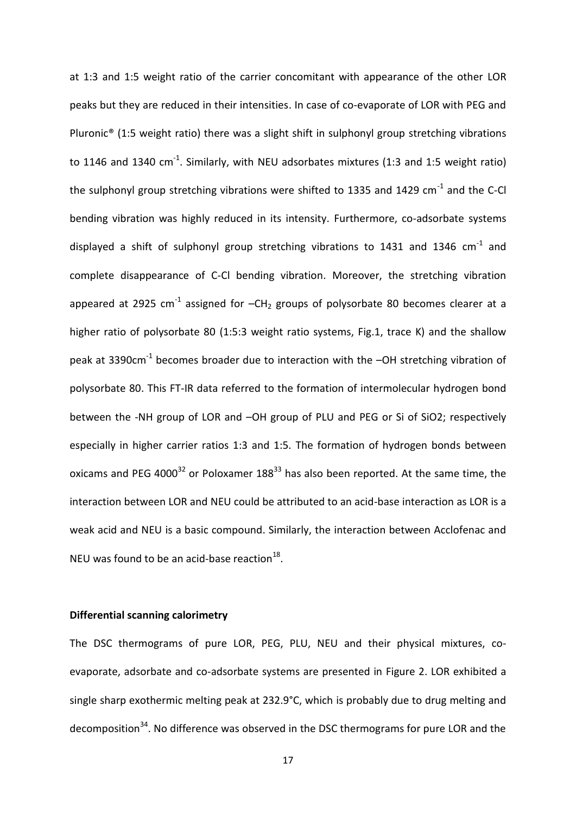at 1:3 and 1:5 weight ratio of the carrier concomitant with appearance of the other LOR peaks but they are reduced in their intensities. In case of co-evaporate of LOR with PEG and Pluronic® (1:5 weight ratio) there was a slight shift in sulphonyl group stretching vibrations to 1146 and 1340 cm<sup>-1</sup>. Similarly, with NEU adsorbates mixtures (1:3 and 1:5 weight ratio) the sulphonyl group stretching vibrations were shifted to 1335 and 1429  $\text{cm}^{-1}$  and the C-Cl bending vibration was highly reduced in its intensity. Furthermore, co-adsorbate systems displayed a shift of sulphonyl group stretching vibrations to 1431 and 1346  $cm^{-1}$  and complete disappearance of C-Cl bending vibration. Moreover, the stretching vibration appeared at 2925  $cm^{-1}$  assigned for  $-CH_2$  groups of polysorbate 80 becomes clearer at a higher ratio of polysorbate 80 (1:5:3 weight ratio systems, Fig.1, trace K) and the shallow peak at 3390 $cm^{-1}$  becomes broader due to interaction with the  $-OH$  stretching vibration of polysorbate 80. This FT-IR data referred to the formation of intermolecular hydrogen bond between the -NH group of LOR and –OH group of PLU and PEG or Si of SiO2; respectively especially in higher carrier ratios 1:3 and 1:5. The formation of hydrogen bonds between oxicams and PEG 4000<sup>32</sup> or Poloxamer 188<sup>33</sup> has also been reported. At the same time, the interaction between LOR and NEU could be attributed to an acid-base interaction as LOR is a weak acid and NEU is a basic compound. Similarly, the interaction between Acclofenac and NEU was found to be an acid-base reaction $^{18}$ .

#### **Differential scanning calorimetry**

The DSC thermograms of pure LOR, PEG, PLU, NEU and their physical mixtures, coevaporate, adsorbate and co-adsorbate systems are presented in Figure 2. LOR exhibited a single sharp exothermic melting peak at 232.9°C, which is probably due to drug melting and decomposition<sup>34</sup>. No difference was observed in the DSC thermograms for pure LOR and the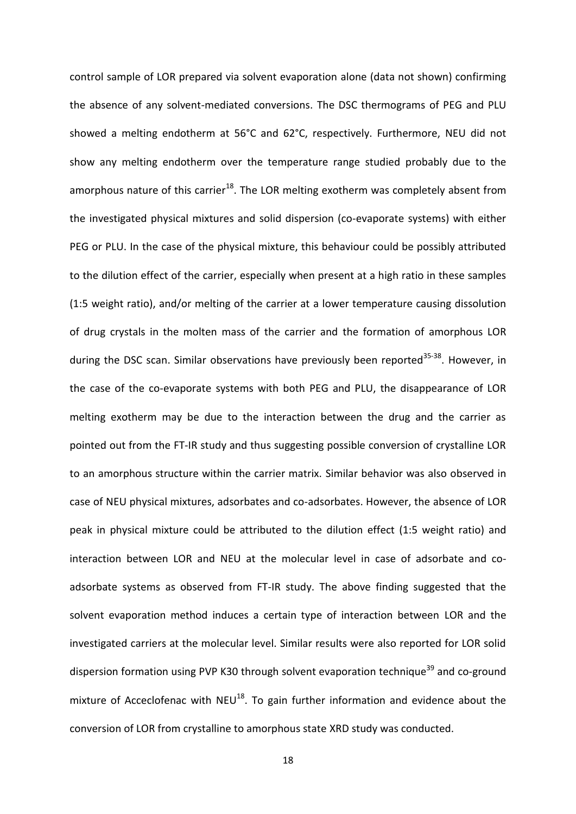control sample of LOR prepared via solvent evaporation alone (data not shown) confirming the absence of any solvent-mediated conversions. The DSC thermograms of PEG and PLU showed a melting endotherm at 56°C and 62°C, respectively. Furthermore, NEU did not show any melting endotherm over the temperature range studied probably due to the amorphous nature of this carrier<sup>18</sup>. The LOR melting exotherm was completely absent from the investigated physical mixtures and solid dispersion (co-evaporate systems) with either PEG or PLU. In the case of the physical mixture, this behaviour could be possibly attributed to the dilution effect of the carrier, especially when present at a high ratio in these samples (1:5 weight ratio), and/or melting of the carrier at a lower temperature causing dissolution of drug crystals in the molten mass of the carrier and the formation of amorphous LOR during the DSC scan. Similar observations have previously been reported<sup>35-38</sup>. However, in the case of the co-evaporate systems with both PEG and PLU, the disappearance of LOR melting exotherm may be due to the interaction between the drug and the carrier as pointed out from the FT-IR study and thus suggesting possible conversion of crystalline LOR to an amorphous structure within the carrier matrix. Similar behavior was also observed in case of NEU physical mixtures, adsorbates and co-adsorbates. However, the absence of LOR peak in physical mixture could be attributed to the dilution effect (1:5 weight ratio) and interaction between LOR and NEU at the molecular level in case of adsorbate and coadsorbate systems as observed from FT-IR study. The above finding suggested that the solvent evaporation method induces a certain type of interaction between LOR and the investigated carriers at the molecular level. Similar results were also reported for LOR solid dispersion formation using PVP K30 through solvent evaporation technique<sup>39</sup> and co-ground mixture of Acceclofenac with  $NEU^{18}$ . To gain further information and evidence about the conversion of LOR from crystalline to amorphous state XRD study was conducted.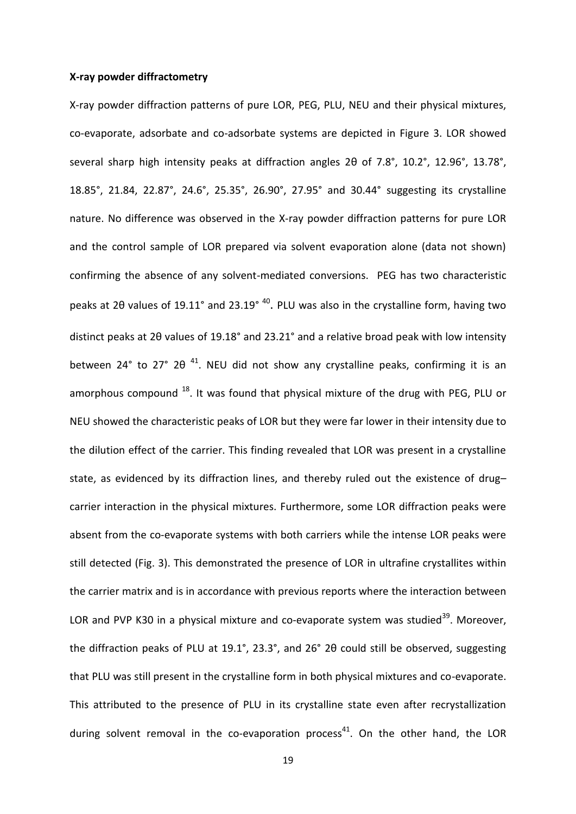#### **X-ray powder diffractometry**

X-ray powder diffraction patterns of pure LOR, PEG, PLU, NEU and their physical mixtures, co-evaporate, adsorbate and co-adsorbate systems are depicted in Figure 3. LOR showed several sharp high intensity peaks at diffraction angles 2θ of 7.8°, 10.2°, 12.96°, 13.78°, 18.85°, 21.84, 22.87°, 24.6°, 25.35°, 26.90°, 27.95° and 30.44° suggesting its crystalline nature. No difference was observed in the X-ray powder diffraction patterns for pure LOR and the control sample of LOR prepared via solvent evaporation alone (data not shown) confirming the absence of any solvent-mediated conversions. PEG has two characteristic peaks at 2θ values of 19.11° and 23.19°<sup>40</sup>. PLU was also in the crystalline form, having two distinct peaks at 2θ values of 19.18° and 23.21° and a relative broad peak with low intensity between 24° to 27° 20<sup>41</sup>. NEU did not show any crystalline peaks, confirming it is an amorphous compound <sup>18</sup>. It was found that physical mixture of the drug with PEG, PLU or NEU showed the characteristic peaks of LOR but they were far lower in their intensity due to the dilution effect of the carrier. This finding revealed that LOR was present in a crystalline state, as evidenced by its diffraction lines, and thereby ruled out the existence of drug– carrier interaction in the physical mixtures. Furthermore, some LOR diffraction peaks were absent from the co-evaporate systems with both carriers while the intense LOR peaks were still detected (Fig. 3). This demonstrated the presence of LOR in ultrafine crystallites within the carrier matrix and is in accordance with previous reports where the interaction between LOR and PVP K30 in a physical mixture and co-evaporate system was studied<sup>39</sup>. Moreover, the diffraction peaks of PLU at 19.1°, 23.3°, and 26° 2θ could still be observed, suggesting that PLU was still present in the crystalline form in both physical mixtures and co-evaporate. This attributed to the presence of PLU in its crystalline state even after recrystallization during solvent removal in the co-evaporation process<sup>41</sup>. On the other hand, the LOR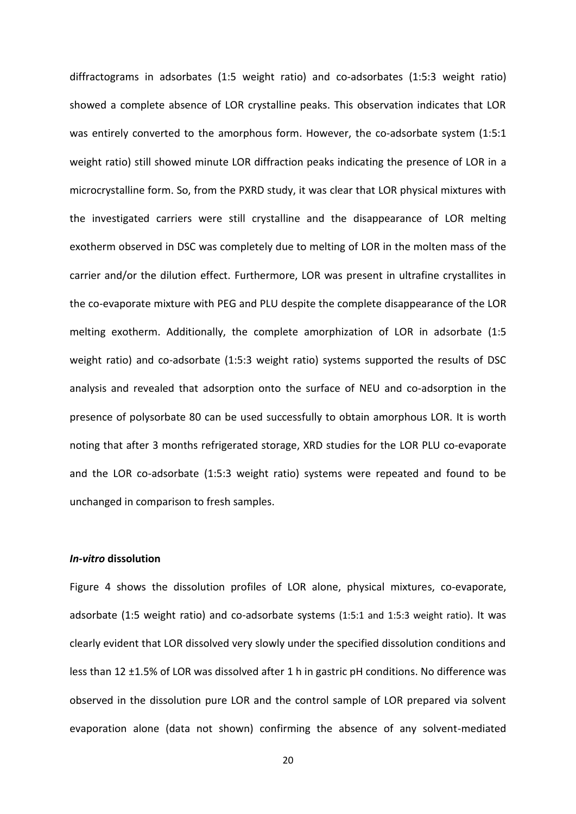diffractograms in adsorbates (1:5 weight ratio) and co-adsorbates (1:5:3 weight ratio) showed a complete absence of LOR crystalline peaks. This observation indicates that LOR was entirely converted to the amorphous form. However, the co-adsorbate system (1:5:1 weight ratio) still showed minute LOR diffraction peaks indicating the presence of LOR in a microcrystalline form. So, from the PXRD study, it was clear that LOR physical mixtures with the investigated carriers were still crystalline and the disappearance of LOR melting exotherm observed in DSC was completely due to melting of LOR in the molten mass of the carrier and/or the dilution effect. Furthermore, LOR was present in ultrafine crystallites in the co-evaporate mixture with PEG and PLU despite the complete disappearance of the LOR melting exotherm. Additionally, the complete amorphization of LOR in adsorbate (1:5 weight ratio) and co-adsorbate (1:5:3 weight ratio) systems supported the results of DSC analysis and revealed that adsorption onto the surface of NEU and co-adsorption in the presence of polysorbate 80 can be used successfully to obtain amorphous LOR. It is worth noting that after 3 months refrigerated storage, XRD studies for the LOR PLU co-evaporate and the LOR co-adsorbate (1:5:3 weight ratio) systems were repeated and found to be unchanged in comparison to fresh samples.

## *In-vitro* **dissolution**

Figure 4 shows the dissolution profiles of LOR alone, physical mixtures, co-evaporate, adsorbate (1:5 weight ratio) and co-adsorbate systems (1:5:1 and 1:5:3 weight ratio). It was clearly evident that LOR dissolved very slowly under the specified dissolution conditions and less than 12 ±1.5% of LOR was dissolved after 1 h in gastric pH conditions. No difference was observed in the dissolution pure LOR and the control sample of LOR prepared via solvent evaporation alone (data not shown) confirming the absence of any solvent-mediated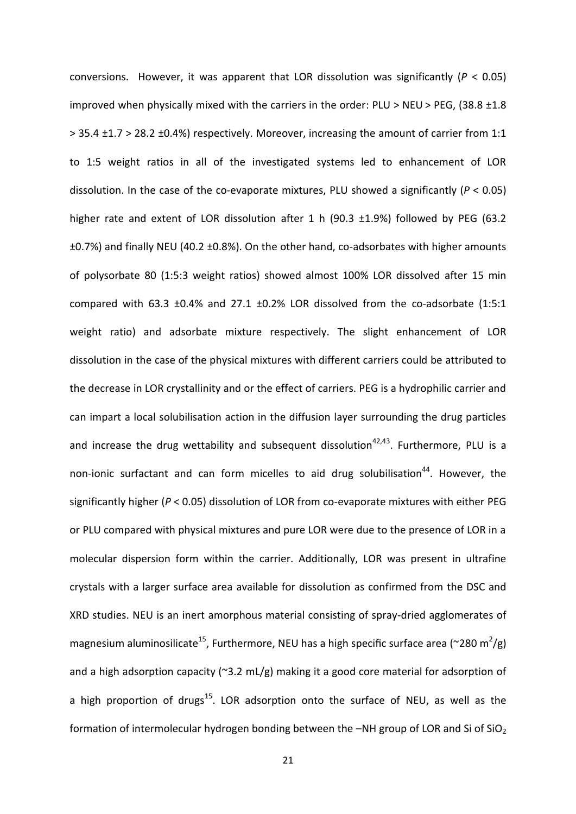conversions. However, it was apparent that LOR dissolution was significantly (*P* < 0.05) improved when physically mixed with the carriers in the order: PLU > NEU > PEG, (38.8 ±1.8 > 35.4 ±1.7 > 28.2 ±0.4%) respectively. Moreover, increasing the amount of carrier from 1:1 to 1:5 weight ratios in all of the investigated systems led to enhancement of LOR dissolution. In the case of the co-evaporate mixtures, PLU showed a significantly (*P* < 0.05) higher rate and extent of LOR dissolution after 1 h (90.3 ±1.9%) followed by PEG (63.2 ±0.7%) and finally NEU (40.2 ±0.8%). On the other hand, co-adsorbates with higher amounts of polysorbate 80 (1:5:3 weight ratios) showed almost 100% LOR dissolved after 15 min compared with 63.3  $\pm$ 0.4% and 27.1  $\pm$ 0.2% LOR dissolved from the co-adsorbate (1:5:1 weight ratio) and adsorbate mixture respectively. The slight enhancement of LOR dissolution in the case of the physical mixtures with different carriers could be attributed to the decrease in LOR crystallinity and or the effect of carriers. PEG is a hydrophilic carrier and can impart a local solubilisation action in the diffusion layer surrounding the drug particles and increase the drug wettability and subsequent dissolution<sup>42,43</sup>. Furthermore, PLU is a non-ionic surfactant and can form micelles to aid drug solubilisation<sup>44</sup>. However, the significantly higher (*P* < 0.05) dissolution of LOR from co-evaporate mixtures with either PEG or PLU compared with physical mixtures and pure LOR were due to the presence of LOR in a molecular dispersion form within the carrier. Additionally, LOR was present in ultrafine crystals with a larger surface area available for dissolution as confirmed from the DSC and XRD studies. NEU is an inert amorphous material consisting of spray-dried agglomerates of magnesium aluminosilicate<sup>15</sup>, Furthermore, NEU has a high specific surface area (~280 m<sup>2</sup>/g) and a high adsorption capacity ( $\approx$ 3.2 mL/g) making it a good core material for adsorption of a high proportion of drugs<sup>15</sup>. LOR adsorption onto the surface of NEU, as well as the formation of intermolecular hydrogen bonding between the  $-NH$  group of LOR and Si of  $SiO<sub>2</sub>$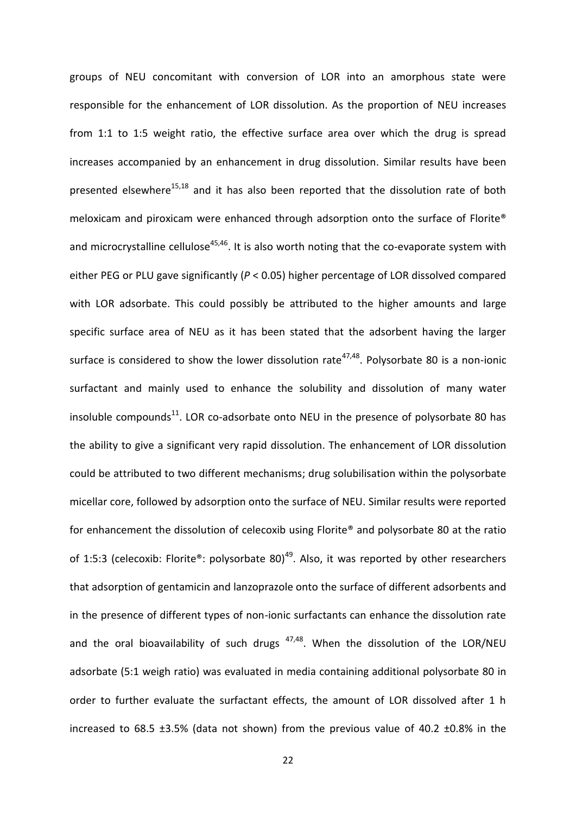groups of NEU concomitant with conversion of LOR into an amorphous state were responsible for the enhancement of LOR dissolution. As the proportion of NEU increases from 1:1 to 1:5 weight ratio, the effective surface area over which the drug is spread increases accompanied by an enhancement in drug dissolution. Similar results have been presented elsewhere<sup>15,18</sup> and it has also been reported that the dissolution rate of both meloxicam and piroxicam were enhanced through adsorption onto the surface of Florite® and microcrystalline cellulose<sup>45,46</sup>. It is also worth noting that the co-evaporate system with either PEG or PLU gave significantly (*P* < 0.05) higher percentage of LOR dissolved compared with LOR adsorbate. This could possibly be attributed to the higher amounts and large specific surface area of NEU as it has been stated that the adsorbent having the larger surface is considered to show the lower dissolution rate<sup>47,48</sup>. Polysorbate 80 is a non-ionic surfactant and mainly used to enhance the solubility and dissolution of many water insoluble compounds $^{11}$ . LOR co-adsorbate onto NEU in the presence of polysorbate 80 has the ability to give a significant very rapid dissolution. The enhancement of LOR dissolution could be attributed to two different mechanisms; drug solubilisation within the polysorbate micellar core, followed by adsorption onto the surface of NEU. Similar results were reported for enhancement the dissolution of celecoxib using Florite® and polysorbate 80 at the ratio of 1:5:3 (celecoxib: Florite®: polysorbate 80)<sup>49</sup>. Also, it was reported by other researchers that adsorption of gentamicin and lanzoprazole onto the surface of different adsorbents and in the presence of different types of non-ionic surfactants can enhance the dissolution rate and the oral bioavailability of such drugs <sup>47,48</sup>. When the dissolution of the LOR/NEU adsorbate (5:1 weigh ratio) was evaluated in media containing additional polysorbate 80 in order to further evaluate the surfactant effects, the amount of LOR dissolved after 1 h increased to 68.5  $\pm$ 3.5% (data not shown) from the previous value of 40.2  $\pm$ 0.8% in the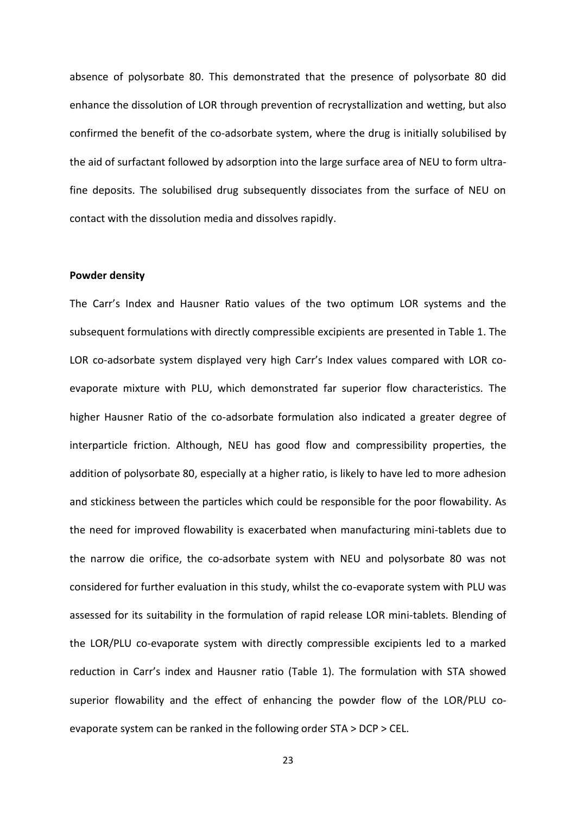absence of polysorbate 80. This demonstrated that the presence of polysorbate 80 did enhance the dissolution of LOR through prevention of recrystallization and wetting, but also confirmed the benefit of the co-adsorbate system, where the drug is initially solubilised by the aid of surfactant followed by adsorption into the large surface area of NEU to form ultrafine deposits. The solubilised drug subsequently dissociates from the surface of NEU on contact with the dissolution media and dissolves rapidly.

## **Powder density**

The Carr's Index and Hausner Ratio values of the two optimum LOR systems and the subsequent formulations with directly compressible excipients are presented in Table 1. The LOR co-adsorbate system displayed very high Carr's Index values compared with LOR coevaporate mixture with PLU, which demonstrated far superior flow characteristics. The higher Hausner Ratio of the co-adsorbate formulation also indicated a greater degree of interparticle friction. Although, NEU has good flow and compressibility properties, the addition of polysorbate 80, especially at a higher ratio, is likely to have led to more adhesion and stickiness between the particles which could be responsible for the poor flowability. As the need for improved flowability is exacerbated when manufacturing mini-tablets due to the narrow die orifice, the co-adsorbate system with NEU and polysorbate 80 was not considered for further evaluation in this study, whilst the co-evaporate system with PLU was assessed for its suitability in the formulation of rapid release LOR mini-tablets. Blending of the LOR/PLU co-evaporate system with directly compressible excipients led to a marked reduction in Carr's index and Hausner ratio (Table 1). The formulation with STA showed superior flowability and the effect of enhancing the powder flow of the LOR/PLU coevaporate system can be ranked in the following order STA > DCP > CEL.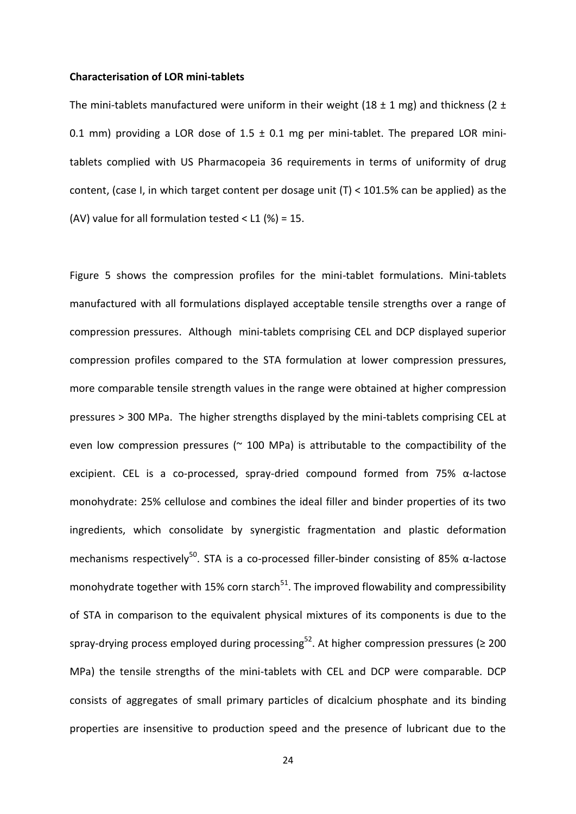#### **Characterisation of LOR mini-tablets**

The mini-tablets manufactured were uniform in their weight (18  $\pm$  1 mg) and thickness (2  $\pm$ 0.1 mm) providing a LOR dose of 1.5  $\pm$  0.1 mg per mini-tablet. The prepared LOR minitablets complied with US Pharmacopeia 36 requirements in terms of uniformity of drug content, (case I, in which target content per dosage unit (T) < 101.5% can be applied) as the (AV) value for all formulation tested < L1 (%) = 15.

Figure 5 shows the compression profiles for the mini-tablet formulations. Mini-tablets manufactured with all formulations displayed acceptable tensile strengths over a range of compression pressures. Although mini-tablets comprising CEL and DCP displayed superior compression profiles compared to the STA formulation at lower compression pressures, more comparable tensile strength values in the range were obtained at higher compression pressures > 300 MPa. The higher strengths displayed by the mini-tablets comprising CEL at even low compression pressures ( $\approx$  100 MPa) is attributable to the compactibility of the excipient. CEL is a co-processed, spray-dried compound formed from 75% α-lactose monohydrate: 25% cellulose and combines the ideal filler and binder properties of its two ingredients, which consolidate by synergistic fragmentation and plastic deformation mechanisms respectively<sup>50</sup>. STA is a co-processed filler-binder consisting of 85%  $\alpha$ -lactose monohydrate together with 15% corn starch<sup>51</sup>. The improved flowability and compressibility of STA in comparison to the equivalent physical mixtures of its components is due to the spray-drying process employed during processing<sup>52</sup>. At higher compression pressures ( $\geq 200$ MPa) the tensile strengths of the mini-tablets with CEL and DCP were comparable. DCP consists of aggregates of small primary particles of dicalcium phosphate and its binding properties are insensitive to production speed and the presence of lubricant due to the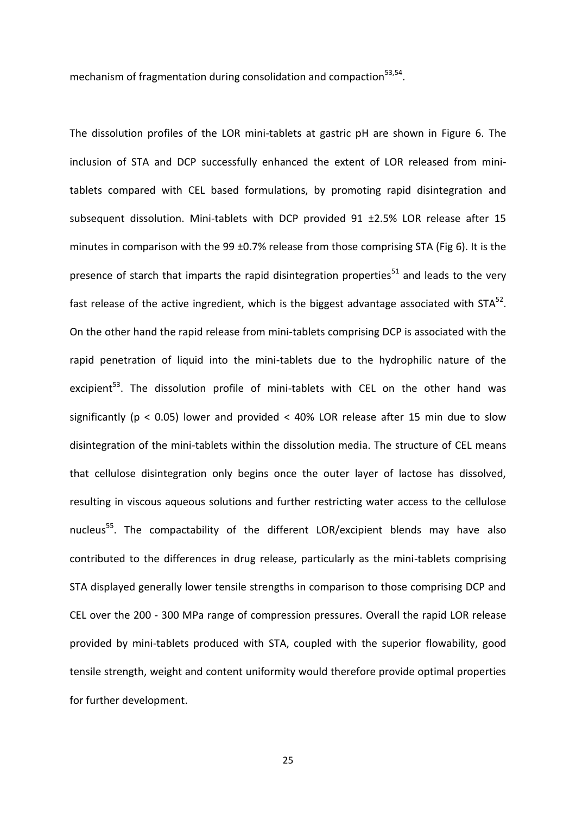mechanism of fragmentation during consolidation and compaction<sup>53,54</sup>.

The dissolution profiles of the LOR mini-tablets at gastric pH are shown in Figure 6. The inclusion of STA and DCP successfully enhanced the extent of LOR released from minitablets compared with CEL based formulations, by promoting rapid disintegration and subsequent dissolution. Mini-tablets with DCP provided 91 ±2.5% LOR release after 15 minutes in comparison with the 99 ±0.7% release from those comprising STA (Fig 6). It is the presence of starch that imparts the rapid disintegration properties<sup>51</sup> and leads to the very fast release of the active ingredient, which is the biggest advantage associated with  $STA^{52}$ . On the other hand the rapid release from mini-tablets comprising DCP is associated with the rapid penetration of liquid into the mini-tablets due to the hydrophilic nature of the excipient<sup>53</sup>. The dissolution profile of mini-tablets with CEL on the other hand was significantly ( $p < 0.05$ ) lower and provided  $< 40\%$  LOR release after 15 min due to slow disintegration of the mini-tablets within the dissolution media. The structure of CEL means that cellulose disintegration only begins once the outer layer of lactose has dissolved, resulting in viscous aqueous solutions and further restricting water access to the cellulose nucleus<sup>55</sup>. The compactability of the different LOR/excipient blends may have also contributed to the differences in drug release, particularly as the mini-tablets comprising STA displayed generally lower tensile strengths in comparison to those comprising DCP and CEL over the 200 - 300 MPa range of compression pressures. Overall the rapid LOR release provided by mini-tablets produced with STA, coupled with the superior flowability, good tensile strength, weight and content uniformity would therefore provide optimal properties for further development.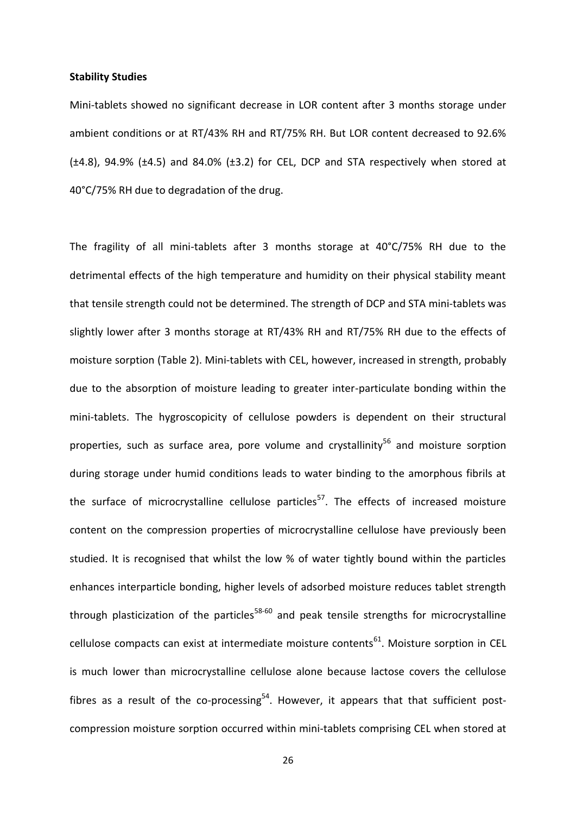#### **Stability Studies**

Mini-tablets showed no significant decrease in LOR content after 3 months storage under ambient conditions or at RT/43% RH and RT/75% RH. But LOR content decreased to 92.6%  $(\pm 4.8)$ , 94.9% ( $\pm 4.5$ ) and 84.0% ( $\pm 3.2$ ) for CEL, DCP and STA respectively when stored at 40°C/75% RH due to degradation of the drug.

The fragility of all mini-tablets after 3 months storage at 40°C/75% RH due to the detrimental effects of the high temperature and humidity on their physical stability meant that tensile strength could not be determined. The strength of DCP and STA mini-tablets was slightly lower after 3 months storage at RT/43% RH and RT/75% RH due to the effects of moisture sorption (Table 2). Mini-tablets with CEL, however, increased in strength, probably due to the absorption of moisture leading to greater inter-particulate bonding within the mini-tablets. The hygroscopicity of cellulose powders is dependent on their structural properties, such as surface area, pore volume and crystallinity<sup>56</sup> and moisture sorption during storage under humid conditions leads to water binding to the amorphous fibrils at the surface of microcrystalline cellulose particles<sup>57</sup>. The effects of increased moisture content on the compression properties of microcrystalline cellulose have previously been studied. It is recognised that whilst the low % of water tightly bound within the particles enhances interparticle bonding, higher levels of adsorbed moisture reduces tablet strength through plasticization of the particles<sup>58-60</sup> and peak tensile strengths for microcrystalline cellulose compacts can exist at intermediate moisture contents<sup>61</sup>. Moisture sorption in CEL is much lower than microcrystalline cellulose alone because lactose covers the cellulose fibres as a result of the co-processing<sup>54</sup>. However, it appears that that sufficient postcompression moisture sorption occurred within mini-tablets comprising CEL when stored at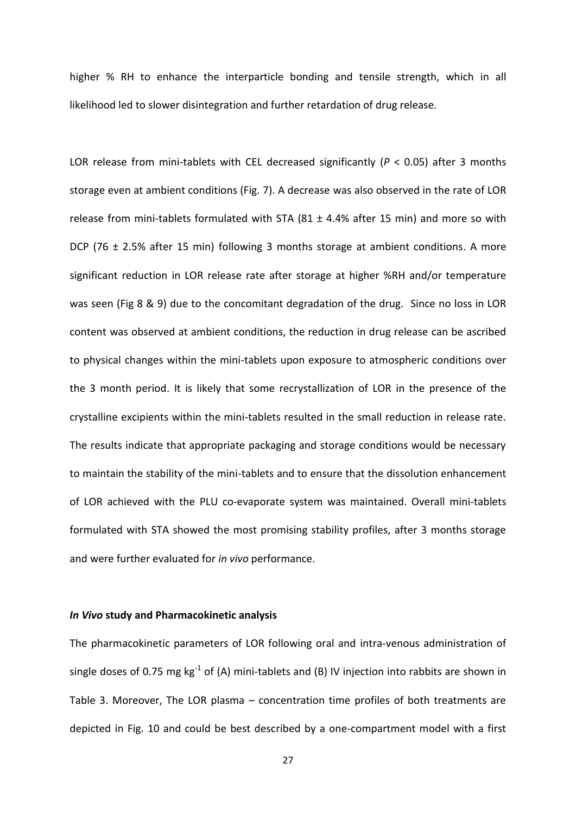higher % RH to enhance the interparticle bonding and tensile strength, which in all likelihood led to slower disintegration and further retardation of drug release.

LOR release from mini-tablets with CEL decreased significantly (*P* < 0.05) after 3 months storage even at ambient conditions (Fig. 7). A decrease was also observed in the rate of LOR release from mini-tablets formulated with STA  $(81 \pm 4.4\%$  after 15 min) and more so with DCP (76 ± 2.5% after 15 min) following 3 months storage at ambient conditions. A more significant reduction in LOR release rate after storage at higher %RH and/or temperature was seen (Fig 8 & 9) due to the concomitant degradation of the drug. Since no loss in LOR content was observed at ambient conditions, the reduction in drug release can be ascribed to physical changes within the mini-tablets upon exposure to atmospheric conditions over the 3 month period. It is likely that some recrystallization of LOR in the presence of the crystalline excipients within the mini-tablets resulted in the small reduction in release rate. The results indicate that appropriate packaging and storage conditions would be necessary to maintain the stability of the mini-tablets and to ensure that the dissolution enhancement of LOR achieved with the PLU co-evaporate system was maintained. Overall mini-tablets formulated with STA showed the most promising stability profiles, after 3 months storage and were further evaluated for *in vivo* performance.

#### *In Vivo* **study and Pharmacokinetic analysis**

The pharmacokinetic parameters of LOR following oral and intra-venous administration of single doses of 0.75 mg  $kg^{-1}$  of (A) mini-tablets and (B) IV injection into rabbits are shown in Table 3. Moreover, The LOR plasma – concentration time profiles of both treatments are depicted in Fig. 10 and could be best described by a one-compartment model with a first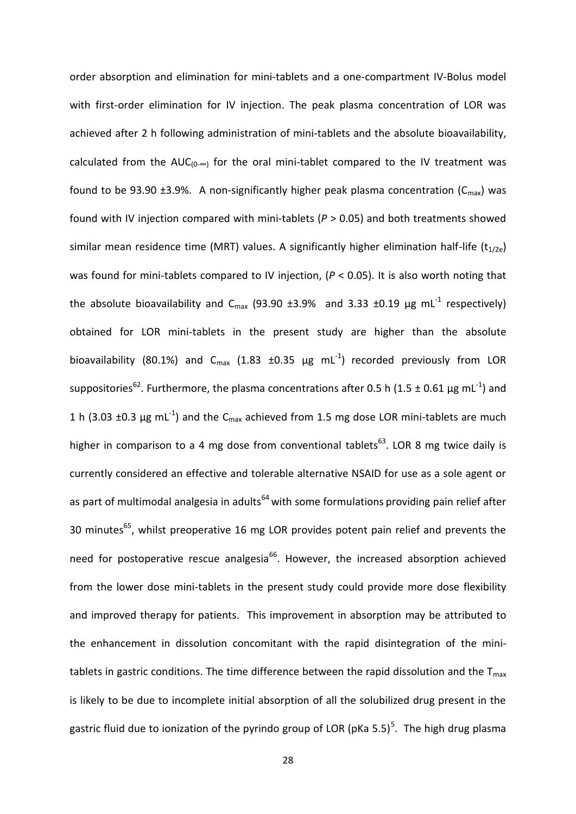order absorption and elimination for mini-tablets and a one-compartment IV-Bolus model with first-order elimination for IV injection. The peak plasma concentration of LOR was achieved after 2 h following administration of mini-tablets and the absolute bioavailability, calculated from the AUC<sub>(0-∞)</sub> for the oral mini-tablet compared to the IV treatment was found to be 93.90  $\pm$ 3.9%. A non-significantly higher peak plasma concentration ( $C_{\text{max}}$ ) was found with IV injection compared with mini-tablets (*P* > 0.05) and both treatments showed similar mean residence time (MRT) values. A significantly higher elimination half-life ( $t_{1/2e}$ ) was found for mini-tablets compared to IV injection, ( $P < 0.05$ ). It is also worth noting that the absolute bioavailability and  $C_{\text{max}}$  (93.90 ±3.9% and 3.33 ±0.19  $\mu$ g mL<sup>-1</sup> respectively) obtained for LOR mini-tablets in the present study are higher than the absolute bioavailability (80.1%) and  $C_{max}$  (1.83 ±0.35  $\mu$ g mL<sup>-1</sup>) recorded previously from LOR suppositories<sup>62</sup>. Furthermore, the plasma concentrations after 0.5 h (1.5  $\pm$  0.61  $\mu$ g mL<sup>-1</sup>) and 1 h (3.03  $\pm$ 0.3  $\mu$ g mL<sup>-1</sup>) and the C<sub>max</sub> achieved from 1.5 mg dose LOR mini-tablets are much higher in comparison to a 4 mg dose from conventional tablets<sup>63</sup>. LOR 8 mg twice daily is currently considered an effective and tolerable alternative NSAID for use as a sole agent or as part of multimodal analgesia in adults<sup>64</sup> with some formulations providing pain relief after 30 minutes<sup>65</sup>, whilst preoperative 16 mg LOR provides potent pain relief and prevents the need for postoperative rescue analgesia<sup>66</sup>. However, the increased absorption achieved from the lower dose mini-tablets in the present study could provide more dose flexibility and improved therapy for patients. This improvement in absorption may be attributed to the enhancement in dissolution concomitant with the rapid disintegration of the minitablets in gastric conditions. The time difference between the rapid dissolution and the  $T_{max}$ is likely to be due to incomplete initial absorption of all the solubilized drug present in the gastric fluid due to ionization of the pyrindo group of LOR (pKa 5.5)<sup>5</sup>. The high drug plasma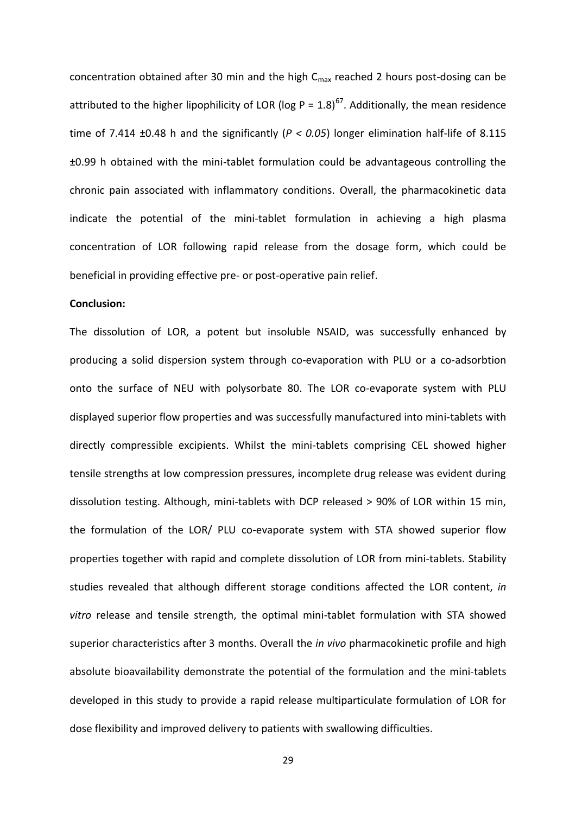concentration obtained after 30 min and the high  $C_{\text{max}}$  reached 2 hours post-dosing can be attributed to the higher lipophilicity of LOR (log  $P = 1.8$ )<sup>67</sup>. Additionally, the mean residence time of 7.414 ±0.48 h and the significantly (*P < 0.05*) longer elimination half-life of 8.115 ±0.99 h obtained with the mini-tablet formulation could be advantageous controlling the chronic pain associated with inflammatory conditions. Overall, the pharmacokinetic data indicate the potential of the mini-tablet formulation in achieving a high plasma concentration of LOR following rapid release from the dosage form, which could be beneficial in providing effective pre- or post-operative pain relief.

#### **Conclusion:**

The dissolution of LOR, a potent but insoluble NSAID, was successfully enhanced by producing a solid dispersion system through co-evaporation with PLU or a co-adsorbtion onto the surface of NEU with polysorbate 80. The LOR co-evaporate system with PLU displayed superior flow properties and was successfully manufactured into mini-tablets with directly compressible excipients. Whilst the mini-tablets comprising CEL showed higher tensile strengths at low compression pressures, incomplete drug release was evident during dissolution testing. Although, mini-tablets with DCP released > 90% of LOR within 15 min, the formulation of the LOR/ PLU co-evaporate system with STA showed superior flow properties together with rapid and complete dissolution of LOR from mini-tablets. Stability studies revealed that although different storage conditions affected the LOR content, *in vitro* release and tensile strength, the optimal mini-tablet formulation with STA showed superior characteristics after 3 months. Overall the *in vivo* pharmacokinetic profile and high absolute bioavailability demonstrate the potential of the formulation and the mini-tablets developed in this study to provide a rapid release multiparticulate formulation of LOR for dose flexibility and improved delivery to patients with swallowing difficulties.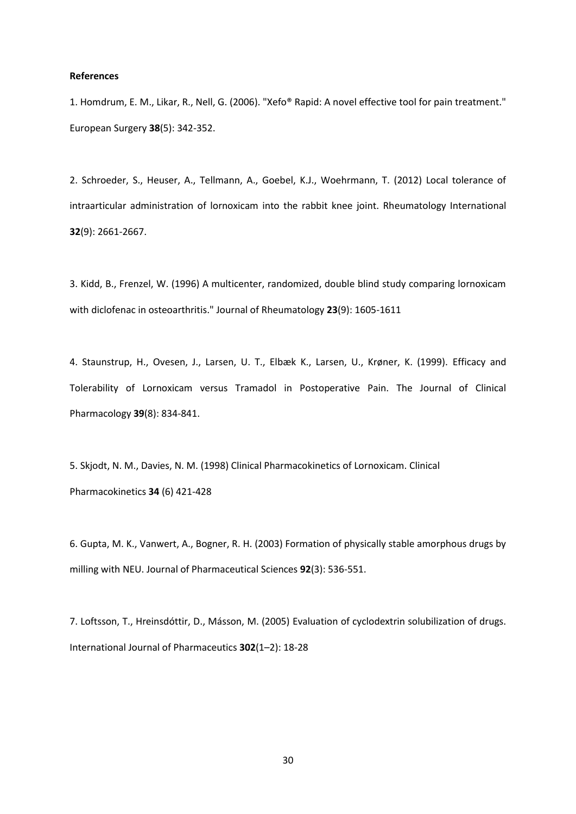#### **References**

1. Homdrum, E. M., Likar, R., Nell, G. (2006). "Xefo® Rapid: A novel effective tool for pain treatment." European Surgery **38**(5): 342-352.

2. Schroeder, S., Heuser, A., Tellmann, A., Goebel, K.J., Woehrmann, T. (2012) Local tolerance of intraarticular administration of lornoxicam into the rabbit knee joint. Rheumatology International **32**(9): 2661-2667.

3. Kidd, B., Frenzel, W. (1996) A multicenter, randomized, double blind study comparing lornoxicam with diclofenac in osteoarthritis." Journal of Rheumatology **23**(9): 1605-1611

4. Staunstrup, H., Ovesen, J., Larsen, U. T., Elbæk K., Larsen, U., Krøner, K. (1999). Efficacy and Tolerability of Lornoxicam versus Tramadol in Postoperative Pain. The Journal of Clinical Pharmacology **39**(8): 834-841.

5. Skjodt, N. M., Davies, N. M. (1998) Clinical Pharmacokinetics of Lornoxicam. Clinical Pharmacokinetics **34** (6) 421-428

6. Gupta, M. K., Vanwert, A., Bogner, R. H. (2003) Formation of physically stable amorphous drugs by milling with NEU. Journal of Pharmaceutical Sciences **92**(3): 536-551.

7. Loftsson, T., Hreinsdóttir, D., Másson, M. (2005) Evaluation of cyclodextrin solubilization of drugs. International Journal of Pharmaceutics **302**(1–2): 18-28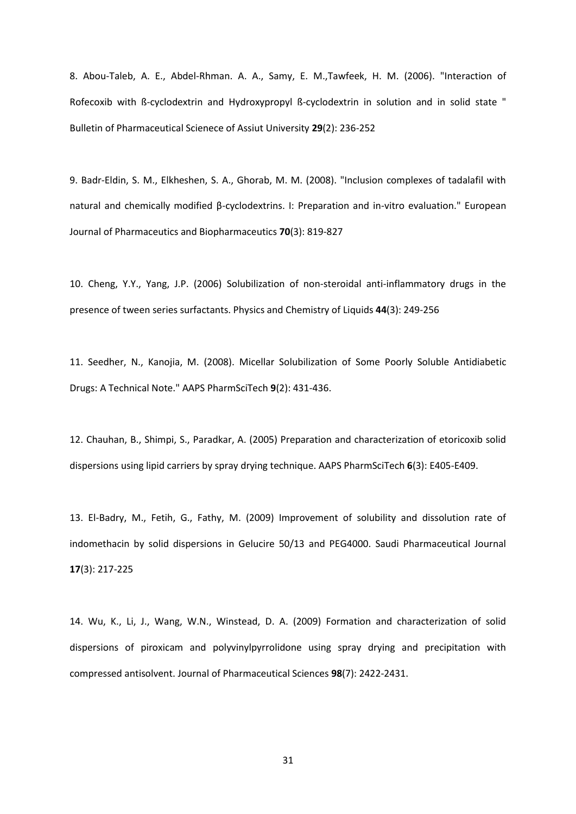8. Abou-Taleb, A. E., Abdel-Rhman. A. A., Samy, E. M.,Tawfeek, H. M. (2006). "Interaction of Rofecoxib with ß-cyclodextrin and Hydroxypropyl ß-cyclodextrin in solution and in solid state " Bulletin of Pharmaceutical Scienece of Assiut University **29**(2): 236-252

9. Badr-Eldin, S. M., Elkheshen, S. A., Ghorab, M. M. (2008). "Inclusion complexes of tadalafil with natural and chemically modified β-cyclodextrins. I: Preparation and in-vitro evaluation." European Journal of Pharmaceutics and Biopharmaceutics **70**(3): 819-827

10. Cheng, Y.Y., Yang, J.P. (2006) Solubilization of non-steroidal anti-inflammatory drugs in the presence of tween series surfactants. Physics and Chemistry of Liquids **44**(3): 249-256

11. Seedher, N., Kanojia, M. (2008). Micellar Solubilization of Some Poorly Soluble Antidiabetic Drugs: A Technical Note." AAPS PharmSciTech **9**(2): 431-436.

12. Chauhan, B., Shimpi, S., Paradkar, A. (2005) Preparation and characterization of etoricoxib solid dispersions using lipid carriers by spray drying technique. AAPS PharmSciTech **6**(3): E405-E409.

13. El-Badry, M., Fetih, G., Fathy, M. (2009) Improvement of solubility and dissolution rate of indomethacin by solid dispersions in Gelucire 50/13 and PEG4000. Saudi Pharmaceutical Journal **17**(3): 217-225

14. Wu, K., Li, J., Wang, W.N., Winstead, D. A. (2009) Formation and characterization of solid dispersions of piroxicam and polyvinylpyrrolidone using spray drying and precipitation with compressed antisolvent. Journal of Pharmaceutical Sciences **98**(7): 2422-2431.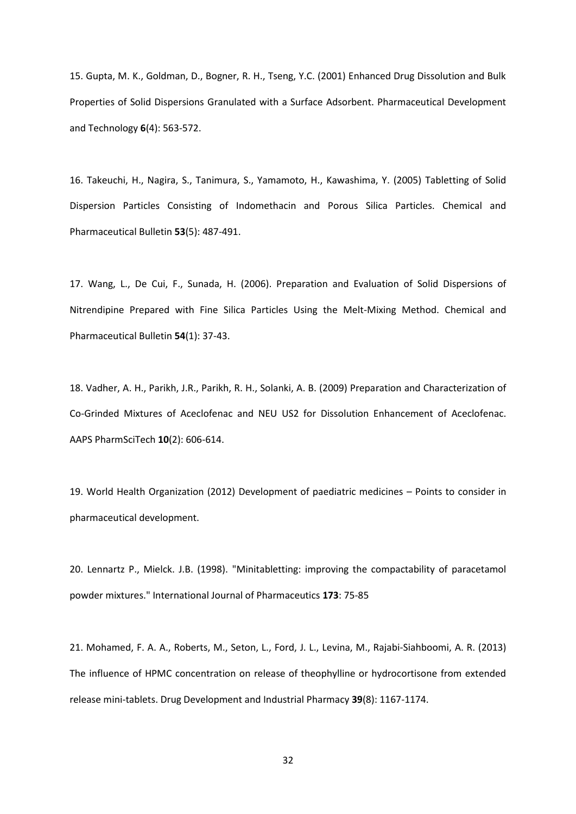15. Gupta, M. K., Goldman, D., Bogner, R. H., Tseng, Y.C. (2001) Enhanced Drug Dissolution and Bulk Properties of Solid Dispersions Granulated with a Surface Adsorbent. Pharmaceutical Development and Technology **6**(4): 563-572.

16. Takeuchi, H., Nagira, S., Tanimura, S., Yamamoto, H., Kawashima, Y. (2005) Tabletting of Solid Dispersion Particles Consisting of Indomethacin and Porous Silica Particles. Chemical and Pharmaceutical Bulletin **53**(5): 487-491.

17. Wang, L., De Cui, F., Sunada, H. (2006). Preparation and Evaluation of Solid Dispersions of Nitrendipine Prepared with Fine Silica Particles Using the Melt-Mixing Method. Chemical and Pharmaceutical Bulletin **54**(1): 37-43.

18. Vadher, A. H., Parikh, J.R., Parikh, R. H., Solanki, A. B. (2009) Preparation and Characterization of Co-Grinded Mixtures of Aceclofenac and NEU US2 for Dissolution Enhancement of Aceclofenac. AAPS PharmSciTech **10**(2): 606-614.

19. World Health Organization (2012) Development of paediatric medicines – Points to consider in pharmaceutical development.

20. Lennartz P., Mielck. J.B. (1998). "Minitabletting: improving the compactability of paracetamol powder mixtures." International Journal of Pharmaceutics **173**: 75-85

21. Mohamed, F. A. A., Roberts, M., Seton, L., Ford, J. L., Levina, M., Rajabi-Siahboomi, A. R. (2013) The influence of HPMC concentration on release of theophylline or hydrocortisone from extended release mini-tablets. Drug Development and Industrial Pharmacy **39**(8): 1167-1174.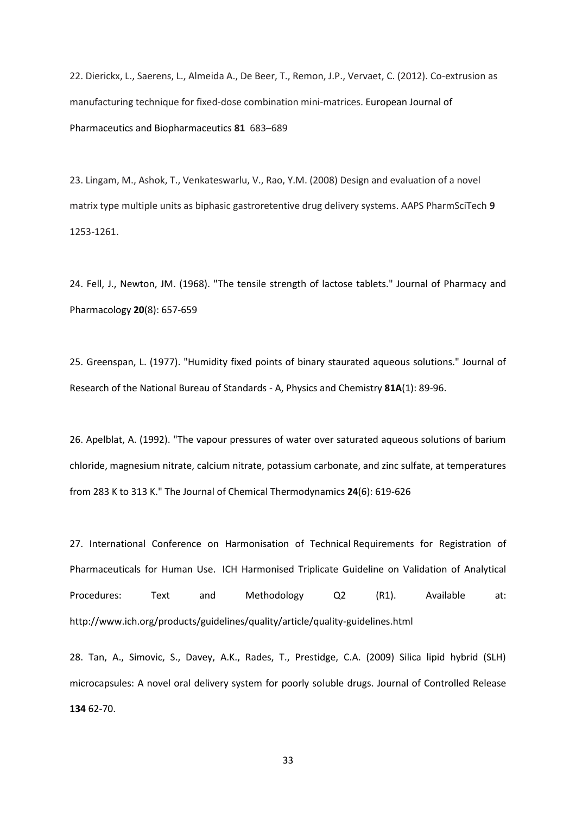22. Dierickx, L., Saerens, L., Almeida A., De Beer, T., Remon, J.P., Vervaet, C. (2012). Co-extrusion as manufacturing technique for fixed-dose combination mini-matrices. European Journal of Pharmaceutics and Biopharmaceutics **81** 683–689

23. Lingam, M., Ashok, T., Venkateswarlu, V., Rao, Y.M. (2008) Design and evaluation of a novel matrix type multiple units as biphasic gastroretentive drug delivery systems. AAPS PharmSciTech **9**  1253-1261.

24. Fell, J., Newton, JM. (1968). "The tensile strength of lactose tablets." Journal of Pharmacy and Pharmacology **20**(8): 657-659

25. Greenspan, L. (1977). "Humidity fixed points of binary staurated aqueous solutions." Journal of Research of the National Bureau of Standards - A, Physics and Chemistry **81A**(1): 89-96.

26. Apelblat, A. (1992). "The vapour pressures of water over saturated aqueous solutions of barium chloride, magnesium nitrate, calcium nitrate, potassium carbonate, and zinc sulfate, at temperatures from 283 K to 313 K." The Journal of Chemical Thermodynamics **24**(6): 619-626

27. International Conference on Harmonisation of Technical Requirements for Registration of Pharmaceuticals for Human Use. ICH Harmonised Triplicate Guideline on Validation of Analytical Procedures: Text and Methodology Q2 (R1). Available at: http://www.ich.org/products/guidelines/quality/article/quality-guidelines.html

28. Tan, A., Simovic, S., Davey, A.K., Rades, T., Prestidge, C.A. (2009) Silica lipid hybrid (SLH) microcapsules: A novel oral delivery system for poorly soluble drugs. Journal of Controlled Release **134** 62-70.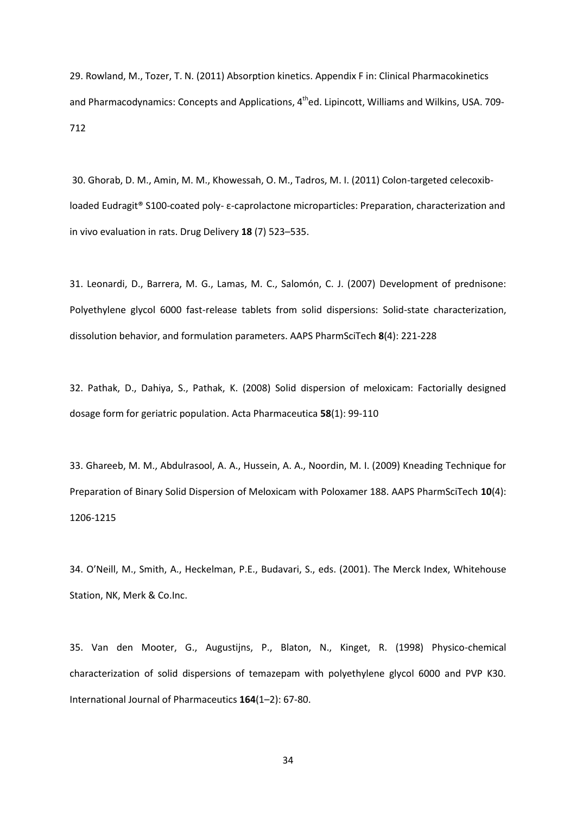29. Rowland, M., Tozer, T. N. (2011) Absorption kinetics. Appendix F in: Clinical Pharmacokinetics and Pharmacodynamics: Concepts and Applications, 4<sup>th</sup>ed. Lipincott, Williams and Wilkins, USA. 709-712

30. Ghorab, D. M., Amin, M. M., Khowessah, O. M., Tadros, M. I. (2011) Colon-targeted celecoxibloaded Eudragit® S100-coated poly- ε-caprolactone microparticles: Preparation, characterization and in vivo evaluation in rats. Drug Delivery **18** (7) 523–535.

31. Leonardi, D., Barrera, M. G., Lamas, M. C., Salomón, C. J. (2007) Development of prednisone: Polyethylene glycol 6000 fast-release tablets from solid dispersions: Solid-state characterization, dissolution behavior, and formulation parameters. AAPS PharmSciTech **8**(4): 221-228

32. Pathak, D., Dahiya, S., Pathak, K. (2008) Solid dispersion of meloxicam: Factorially designed dosage form for geriatric population. Acta Pharmaceutica **58**(1): 99-110

33. Ghareeb, M. M., Abdulrasool, A. A., Hussein, A. A., Noordin, M. I. (2009) Kneading Technique for Preparation of Binary Solid Dispersion of Meloxicam with Poloxamer 188. AAPS PharmSciTech **10**(4): 1206-1215

34. O'Neill, M., Smith, A., Heckelman, P.E., Budavari, S., eds. (2001). The Merck Index, Whitehouse Station, NK, Merk & Co.Inc.

35. Van den Mooter, G., Augustijns, P., Blaton, N., Kinget, R. (1998) Physico-chemical characterization of solid dispersions of temazepam with polyethylene glycol 6000 and PVP K30. International Journal of Pharmaceutics **164**(1–2): 67-80.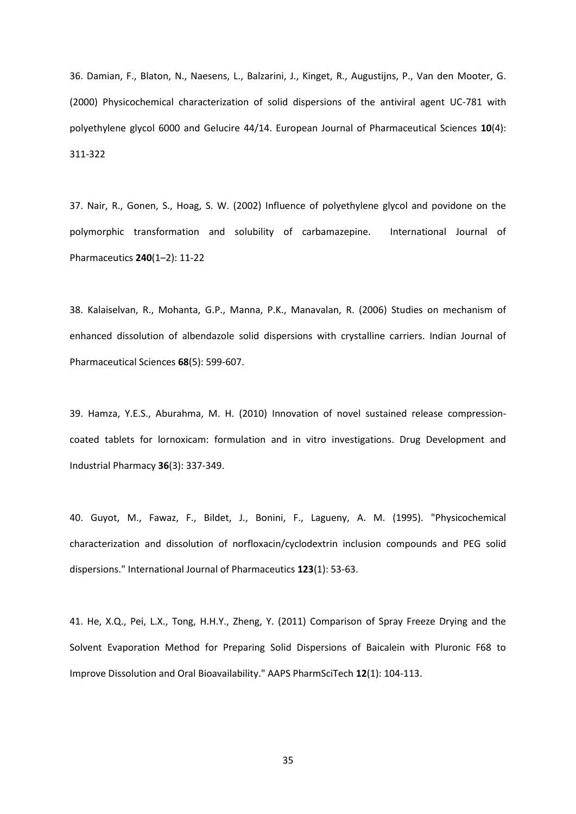36. Damian, F., Blaton, N., Naesens, L., Balzarini, J., Kinget, R., Augustijns, P., Van den Mooter, G. (2000) Physicochemical characterization of solid dispersions of the antiviral agent UC-781 with polyethylene glycol 6000 and Gelucire 44/14. European Journal of Pharmaceutical Sciences **10**(4): 311-322

37. Nair, R., Gonen, S., Hoag, S. W. (2002) Influence of polyethylene glycol and povidone on the polymorphic transformation and solubility of carbamazepine. International Journal of Pharmaceutics **240**(1–2): 11-22

38. Kalaiselvan, R., Mohanta, G.P., Manna, P.K., Manavalan, R. (2006) Studies on mechanism of enhanced dissolution of albendazole solid dispersions with crystalline carriers. Indian Journal of Pharmaceutical Sciences **68**(5): 599-607.

39. Hamza, Y.E.S., Aburahma, M. H. (2010) Innovation of novel sustained release compressioncoated tablets for lornoxicam: formulation and in vitro investigations. Drug Development and Industrial Pharmacy **36**(3): 337-349.

40. Guyot, M., Fawaz, F., Bildet, J., Bonini, F., Lagueny, A. M. (1995). "Physicochemical characterization and dissolution of norfloxacin/cyclodextrin inclusion compounds and PEG solid dispersions." International Journal of Pharmaceutics **123**(1): 53-63.

41. He, X.Q., Pei, L.X., Tong, H.H.Y., Zheng, Y. (2011) Comparison of Spray Freeze Drying and the Solvent Evaporation Method for Preparing Solid Dispersions of Baicalein with Pluronic F68 to Improve Dissolution and Oral Bioavailability." AAPS PharmSciTech **12**(1): 104-113.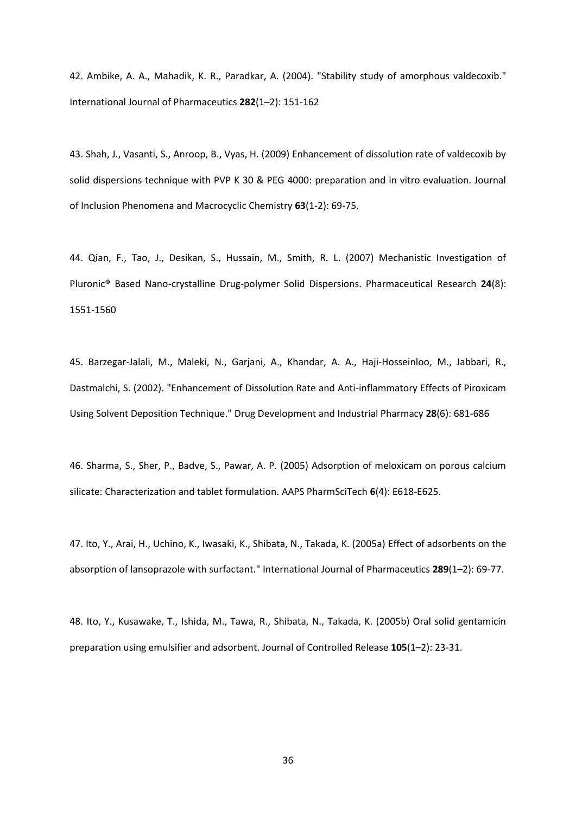42. Ambike, A. A., Mahadik, K. R., Paradkar, A. (2004). "Stability study of amorphous valdecoxib." International Journal of Pharmaceutics **282**(1–2): 151-162

43. Shah, J., Vasanti, S., Anroop, B., Vyas, H. (2009) Enhancement of dissolution rate of valdecoxib by solid dispersions technique with PVP K 30 & PEG 4000: preparation and in vitro evaluation. Journal of Inclusion Phenomena and Macrocyclic Chemistry **63**(1-2): 69-75.

44. Qian, F., Tao, J., Desikan, S., Hussain, M., Smith, R. L. (2007) Mechanistic Investigation of Pluronic® Based Nano-crystalline Drug-polymer Solid Dispersions. Pharmaceutical Research **24**(8): 1551-1560

45. Barzegar-Jalali, M., Maleki, N., Garjani, A., Khandar, A. A., Haji-Hosseinloo, M., Jabbari, R., Dastmalchi, S. (2002). "Enhancement of Dissolution Rate and Anti-inflammatory Effects of Piroxicam Using Solvent Deposition Technique." Drug Development and Industrial Pharmacy **28**(6): 681-686

46. Sharma, S., Sher, P., Badve, S., Pawar, A. P. (2005) Adsorption of meloxicam on porous calcium silicate: Characterization and tablet formulation. AAPS PharmSciTech **6**(4): E618-E625.

47. Ito, Y., Arai, H., Uchino, K., Iwasaki, K., Shibata, N., Takada, K. (2005a) Effect of adsorbents on the absorption of lansoprazole with surfactant." International Journal of Pharmaceutics **289**(1–2): 69-77.

48. Ito, Y., Kusawake, T., Ishida, M., Tawa, R., Shibata, N., Takada, K. (2005b) Oral solid gentamicin preparation using emulsifier and adsorbent. Journal of Controlled Release **105**(1–2): 23-31.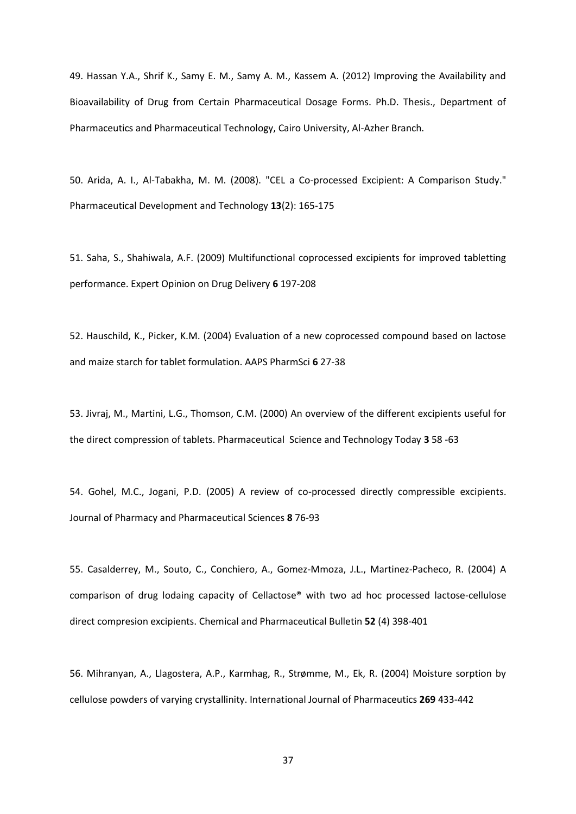49. Hassan Y.A., Shrif K., Samy E. M., Samy A. M., Kassem A. (2012) Improving the Availability and Bioavailability of Drug from Certain Pharmaceutical Dosage Forms. Ph.D. Thesis., Department of Pharmaceutics and Pharmaceutical Technology, Cairo University, Al-Azher Branch.

50. Arida, A. I., Al-Tabakha, M. M. (2008). "CEL a Co-processed Excipient: A Comparison Study." Pharmaceutical Development and Technology **13**(2): 165-175

51. Saha, S., Shahiwala, A.F. (2009) Multifunctional coprocessed excipients for improved tabletting performance. Expert Opinion on Drug Delivery **6** 197-208

52. Hauschild, K., Picker, K.M. (2004) Evaluation of a new coprocessed compound based on lactose and maize starch for tablet formulation. AAPS PharmSci **6** 27-38

53. Jivraj, M., Martini, L.G., Thomson, C.M. (2000) An overview of the different excipients useful for the direct compression of tablets. Pharmaceutical Science and Technology Today **3** 58 -63

54. Gohel, M.C., Jogani, P.D. (2005) A review of co-processed directly compressible excipients. Journal of Pharmacy and Pharmaceutical Sciences **8** 76-93

55. Casalderrey, M., Souto, C., Conchiero, A., Gomez-Mmoza, J.L., Martinez-Pacheco, R. (2004) A comparison of drug lodaing capacity of Cellactose® with two ad hoc processed lactose-cellulose direct compresion excipients. Chemical and Pharmaceutical Bulletin **52** (4) 398-401

56. Mihranyan, A., Llagostera, A.P., Karmhag, R., Strømme, M., Ek, R. (2004) Moisture sorption by cellulose powders of varying crystallinity. International Journal of Pharmaceutics **269** 433-442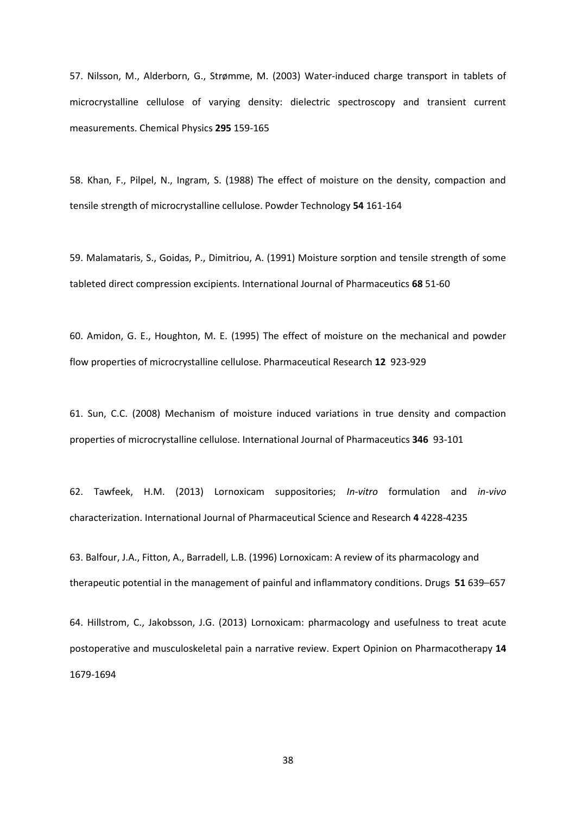57. Nilsson, M., Alderborn, G., Strømme, M. (2003) Water-induced charge transport in tablets of microcrystalline cellulose of varying density: dielectric spectroscopy and transient current measurements. Chemical Physics **295** 159-165

58. Khan, F., Pilpel, N., Ingram, S. (1988) The effect of moisture on the density, compaction and tensile strength of microcrystalline cellulose. Powder Technology **54** 161-164

59. Malamataris, S., Goidas, P., Dimitriou, A. (1991) Moisture sorption and tensile strength of some tableted direct compression excipients. International Journal of Pharmaceutics **68** 51-60

60. Amidon, G. E., Houghton, M. E. (1995) The effect of moisture on the mechanical and powder flow properties of microcrystalline cellulose. Pharmaceutical Research **12** 923-929

61. Sun, C.C. (2008) Mechanism of moisture induced variations in true density and compaction properties of microcrystalline cellulose. International Journal of Pharmaceutics **346** 93-101

62. Tawfeek, H.M. (2013) Lornoxicam suppositories; *In-vitro* formulation and *in-vivo* characterization. International Journal of Pharmaceutical Science and Research **4** 4228-4235

63. Balfour, J.A., Fitton, A., Barradell, L.B. (1996) Lornoxicam: A review of its pharmacology and therapeutic potential in the management of painful and inflammatory conditions. Drugs **51** 639–657

64. Hillstrom, C., Jakobsson, J.G. (2013) Lornoxicam: pharmacology and usefulness to treat acute postoperative and musculoskeletal pain a narrative review. Expert Opinion on Pharmacotherapy **14** 1679-1694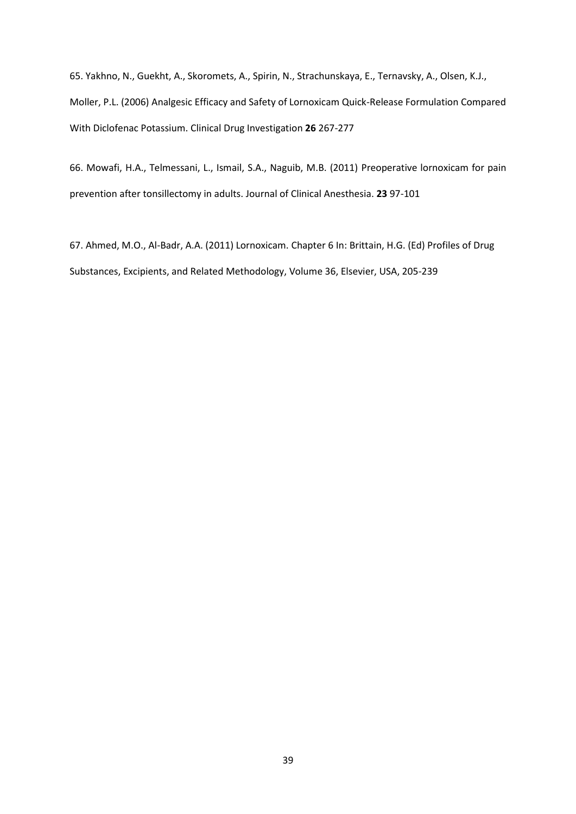65. Yakhno, N., Guekht, A., Skoromets, A., Spirin, N., Strachunskaya, E., Ternavsky, A., Olsen, K.J., Moller, P.L. (2006) Analgesic Efficacy and Safety of Lornoxicam Quick-Release Formulation Compared With Diclofenac Potassium. Clinical Drug Investigation **26** 267-277

66. Mowafi, H.A., Telmessani, L., Ismail, S.A., Naguib, M.B. (2011) Preoperative lornoxicam for pain prevention after tonsillectomy in adults. Journal of Clinical Anesthesia. **23** 97-101

67. Ahmed, M.O., Al-Badr, A.A. (2011) Lornoxicam. Chapter 6 In: Brittain, H.G. (Ed) Profiles of Drug Substances, Excipients, and Related Methodology, Volume 36, Elsevier, USA, 205-239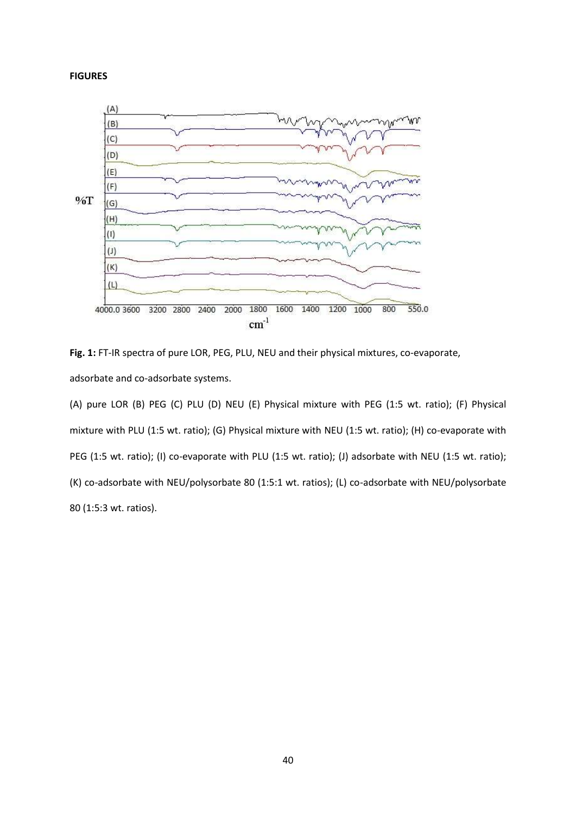#### **FIGURES**



**Fig. 1:** FT-IR spectra of pure LOR, PEG, PLU, NEU and their physical mixtures, co-evaporate, adsorbate and co-adsorbate systems.

(A) pure LOR (B) PEG (C) PLU (D) NEU (E) Physical mixture with PEG (1:5 wt. ratio); (F) Physical mixture with PLU (1:5 wt. ratio); (G) Physical mixture with NEU (1:5 wt. ratio); (H) co-evaporate with PEG (1:5 wt. ratio); (I) co-evaporate with PLU (1:5 wt. ratio); (J) adsorbate with NEU (1:5 wt. ratio); (K) co-adsorbate with NEU/polysorbate 80 (1:5:1 wt. ratios); (L) co-adsorbate with NEU/polysorbate 80 (1:5:3 wt. ratios).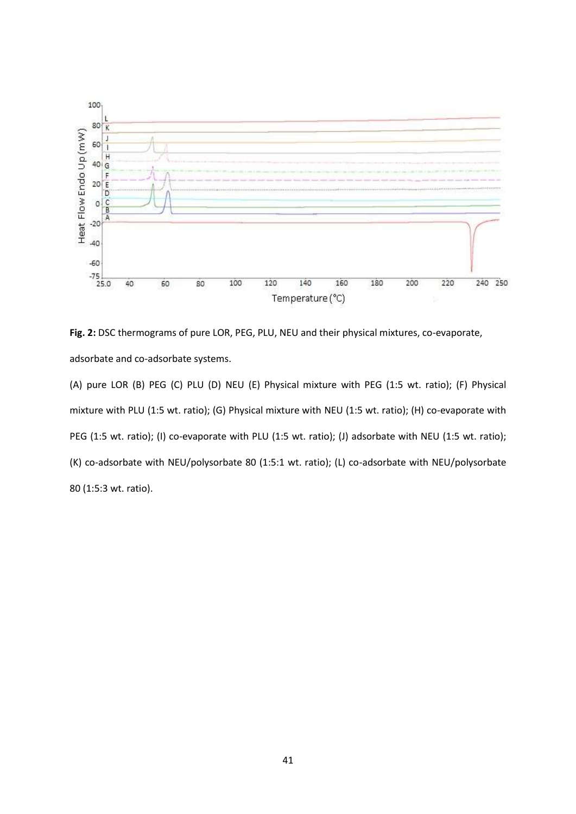

**Fig. 2:** DSC thermograms of pure LOR, PEG, PLU, NEU and their physical mixtures, co-evaporate, adsorbate and co-adsorbate systems.

(A) pure LOR (B) PEG (C) PLU (D) NEU (E) Physical mixture with PEG (1:5 wt. ratio); (F) Physical mixture with PLU (1:5 wt. ratio); (G) Physical mixture with NEU (1:5 wt. ratio); (H) co-evaporate with PEG (1:5 wt. ratio); (I) co-evaporate with PLU (1:5 wt. ratio); (J) adsorbate with NEU (1:5 wt. ratio); (K) co-adsorbate with NEU/polysorbate 80 (1:5:1 wt. ratio); (L) co-adsorbate with NEU/polysorbate 80 (1:5:3 wt. ratio).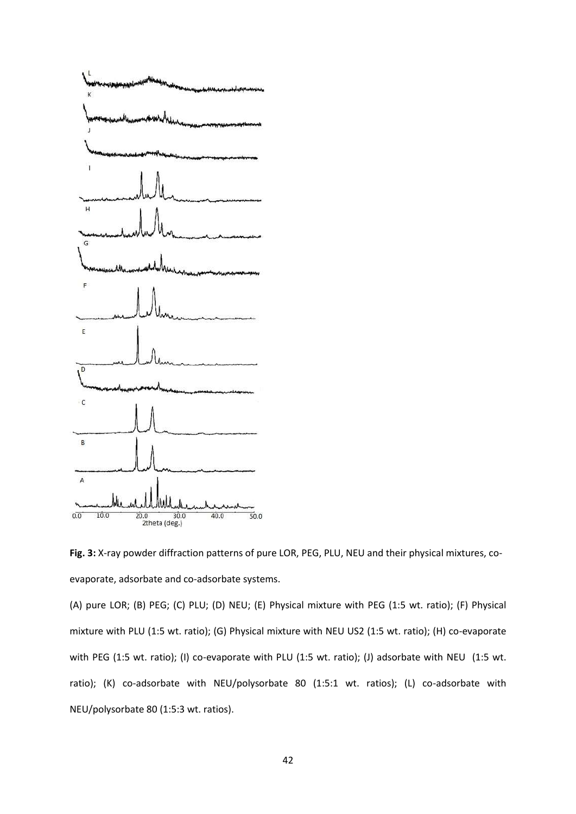

**Fig. 3:** X-ray powder diffraction patterns of pure LOR, PEG, PLU, NEU and their physical mixtures, coevaporate, adsorbate and co-adsorbate systems.

(A) pure LOR; (B) PEG; (C) PLU; (D) NEU; (E) Physical mixture with PEG (1:5 wt. ratio); (F) Physical mixture with PLU (1:5 wt. ratio); (G) Physical mixture with NEU US2 (1:5 wt. ratio); (H) co-evaporate with PEG (1:5 wt. ratio); (I) co-evaporate with PLU (1:5 wt. ratio); (J) adsorbate with NEU (1:5 wt. ratio); (K) co-adsorbate with NEU/polysorbate 80 (1:5:1 wt. ratios); (L) co-adsorbate with NEU/polysorbate 80 (1:5:3 wt. ratios).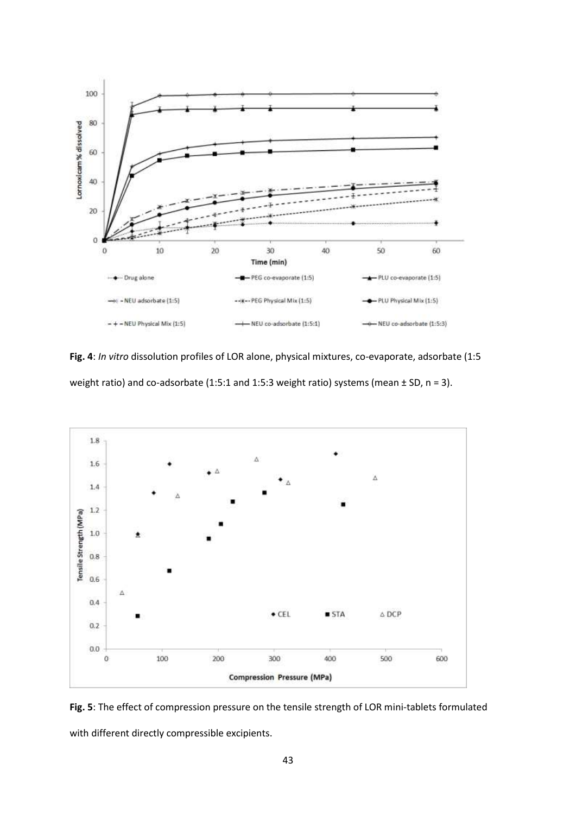

**Fig. 4**: *In vitro* dissolution profiles of LOR alone, physical mixtures, co-evaporate, adsorbate (1:5 weight ratio) and co-adsorbate (1:5:1 and 1:5:3 weight ratio) systems (mean ± SD, n = 3).





with different directly compressible excipients.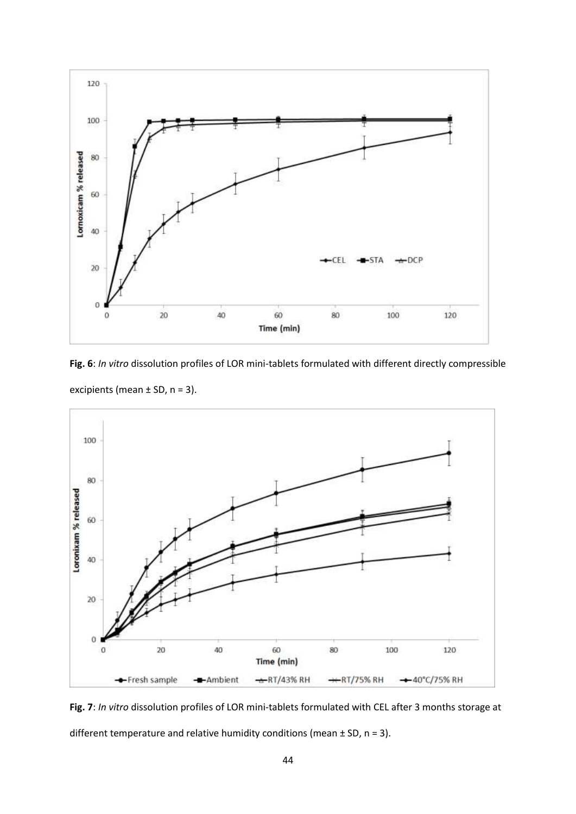

**Fig. 6**: *In vitro* dissolution profiles of LOR mini-tablets formulated with different directly compressible excipients (mean ± SD, n = 3).



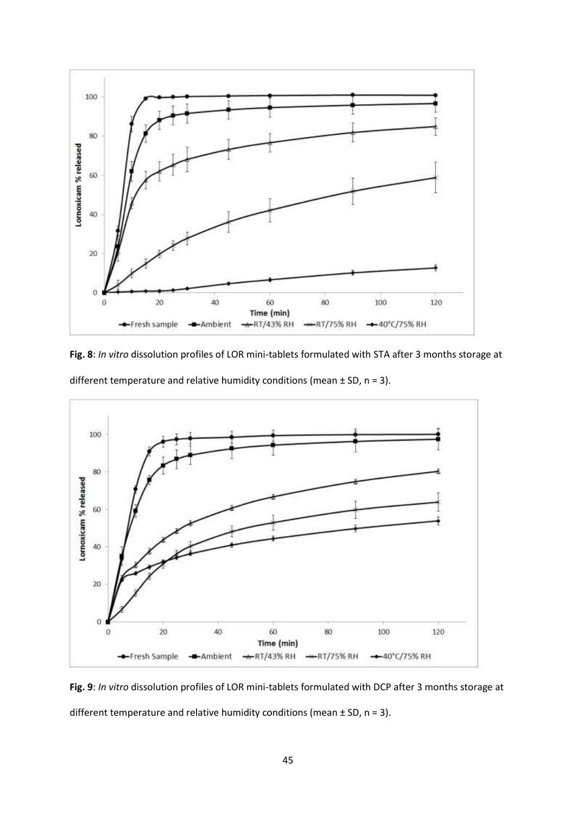

**Fig. 8**: *In vitro* dissolution profiles of LOR mini-tablets formulated with STA after 3 months storage at



different temperature and relative humidity conditions (mean  $\pm$  SD, n = 3).

**Fig. 9**: *In vitro* dissolution profiles of LOR mini-tablets formulated with DCP after 3 months storage at different temperature and relative humidity conditions (mean  $\pm$  SD, n = 3).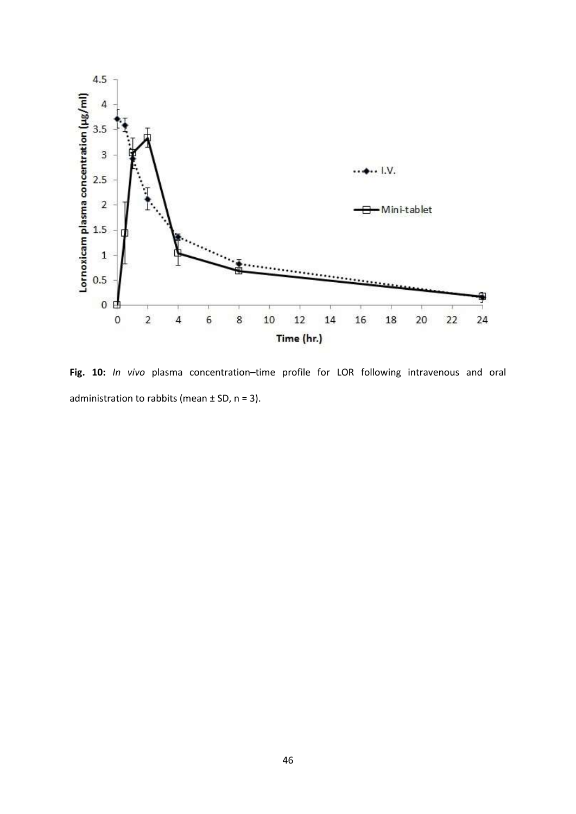

**Fig. 10:** *In vivo* plasma concentration–time profile for LOR following intravenous and oral administration to rabbits (mean  $\pm$  SD, n = 3).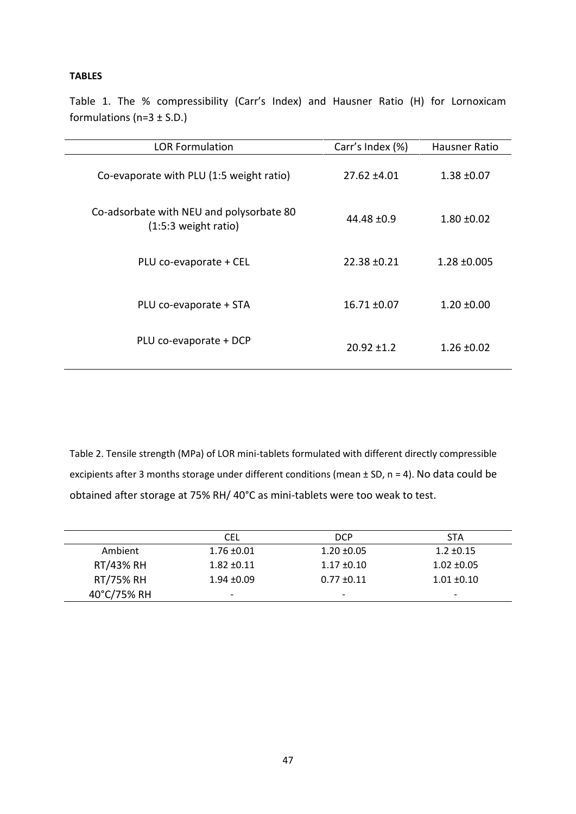## **TABLES**

Table 1. The % compressibility (Carr's Index) and Hausner Ratio (H) for Lornoxicam formulations ( $n=3 \pm S.D.$ )

| <b>LOR Formulation</b>                                             | Carr's Index (%) | Hausner Ratio    |
|--------------------------------------------------------------------|------------------|------------------|
| Co-evaporate with PLU (1:5 weight ratio)                           | $27.62 \pm 4.01$ | $1.38 + 0.07$    |
| Co-adsorbate with NEU and polysorbate 80<br>$(1:5:3$ weight ratio) | $44.48 + 0.9$    | $1.80 + 0.02$    |
| PLU co-evaporate + CEL                                             | $22.38 + 0.21$   | $1.28 \pm 0.005$ |
| PLU co-evaporate + STA                                             | $16.71 \pm 0.07$ | $1.20 \pm 0.00$  |
| PLU co-evaporate + DCP                                             | $20.92 \pm 1.2$  | $1.26 \pm 0.02$  |

Table 2. Tensile strength (MPa) of LOR mini-tablets formulated with different directly compressible excipients after 3 months storage under different conditions (mean ± SD, n = 4). No data could be obtained after storage at 75% RH/ 40°C as mini-tablets were too weak to test.

|             | CEL                      | <b>DCP</b>               | <b>STA</b>      |
|-------------|--------------------------|--------------------------|-----------------|
| Ambient     | $1.76 \pm 0.01$          | $1.20 \pm 0.05$          | $1.2 \pm 0.15$  |
| RT/43% RH   | $1.82 + 0.11$            | $1.17 \pm 0.10$          | $1.02 \pm 0.05$ |
| RT/75% RH   | $1.94 \pm 0.09$          | $0.77 \pm 0.11$          | $1.01 \pm 0.10$ |
| 40°C/75% RH | $\overline{\phantom{0}}$ | $\overline{\phantom{0}}$ | -               |